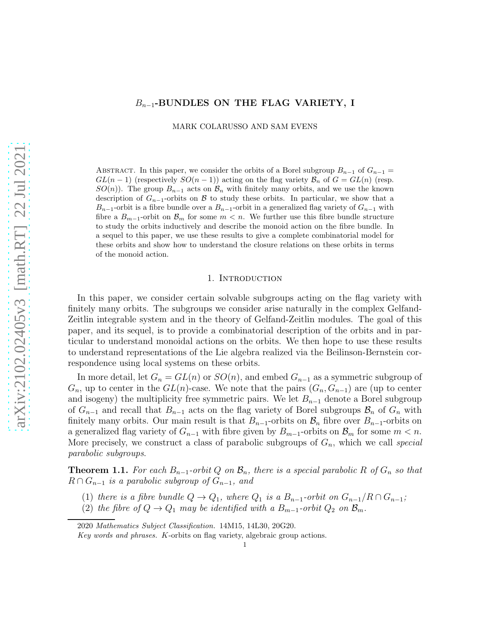# $B_{n-1}$ -BUNDLES ON THE FLAG VARIETY, I

MARK COLARUSSO AND SAM EVENS

ABSTRACT. In this paper, we consider the orbits of a Borel subgroup  $B_{n-1}$  of  $G_{n-1}$  $GL(n-1)$  (respectively  $SO(n-1)$ ) acting on the flag variety  $\mathcal{B}_n$  of  $G = GL(n)$  (resp.  $SO(n)$ . The group  $B_{n-1}$  acts on  $\mathcal{B}_n$  with finitely many orbits, and we use the known description of  $G_{n-1}$ -orbits on B to study these orbits. In particular, we show that a  $B_{n-1}$ -orbit is a fibre bundle over a  $B_{n-1}$ -orbit in a generalized flag variety of  $G_{n-1}$  with fibre a  $B_{m-1}$ -orbit on  $\mathcal{B}_m$  for some  $m < n$ . We further use this fibre bundle structure to study the orbits inductively and describe the monoid action on the fibre bundle. In a sequel to this paper, we use these results to give a complete combinatorial model for these orbits and show how to understand the closure relations on these orbits in terms of the monoid action.

### 1. INTRODUCTION

In this paper, we consider certain solvable subgroups acting on the flag variety with finitely many orbits. The subgroups we consider arise naturally in the complex Gelfand-Zeitlin integrable system and in the theory of Gelfand-Zeitlin modules. The goal of this paper, and its sequel, is to provide a combinatorial description of the orbits and in particular to understand monoidal actions on the orbits. We then hope to use these results to understand representations of the Lie algebra realized via the Beilinson-Bernstein correspondence using local systems on these orbits.

In more detail, let  $G_n = GL(n)$  or  $SO(n)$ , and embed  $G_{n-1}$  as a symmetric subgroup of  $G_n$ , up to center in the  $GL(n)$ -case. We note that the pairs  $(G_n, G_{n-1})$  are (up to center and isogeny) the multiplicity free symmetric pairs. We let  $B_{n-1}$  denote a Borel subgroup of  $G_{n-1}$  and recall that  $B_{n-1}$  acts on the flag variety of Borel subgroups  $\mathcal{B}_n$  of  $G_n$  with finitely many orbits. Our main result is that  $B_{n-1}$ -orbits on  $\mathcal{B}_n$  fibre over  $B_{n-1}$ -orbits on a generalized flag variety of  $G_{n-1}$  with fibre given by  $B_{m-1}$ -orbits on  $\mathcal{B}_m$  for some  $m < n$ . More precisely, we construct a class of parabolic subgroups of  $G_n$ , which we call special parabolic subgroups.

<span id="page-0-0"></span>**Theorem 1.1.** For each  $B_{n-1}$ -orbit Q on  $\mathcal{B}_n$ , there is a special parabolic R of  $G_n$  so that  $R \cap G_{n-1}$  is a parabolic subgroup of  $G_{n-1}$ , and

- (1) there is a fibre bundle  $Q \to Q_1$ , where  $Q_1$  is a  $B_{n-1}$ -orbit on  $G_{n-1}/R \cap G_{n-1}$ ;
- (2) the fibre of  $Q \to Q_1$  may be identified with a  $B_{m-1}$ -orbit  $Q_2$  on  $\mathcal{B}_m$ .

<sup>2020</sup> Mathematics Subject Classification. 14M15, 14L30, 20G20.

Key words and phrases. K-orbits on flag variety, algebraic group actions.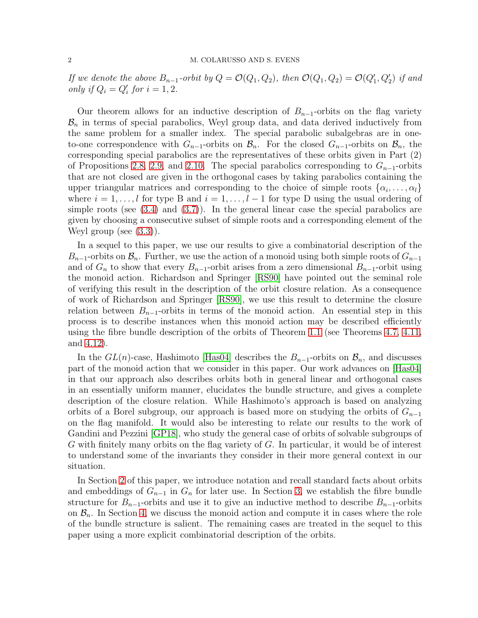#### 2 M. COLARUSSO AND S. EVENS

If we denote the above  $B_{n-1}$ -orbit by  $Q = \mathcal{O}(Q_1, Q_2)$ , then  $\mathcal{O}(Q_1, Q_2) = \mathcal{O}(Q'_1, Q'_2)$  if and only if  $Q_i = Q'_i$  for  $i = 1, 2$ .

Our theorem allows for an inductive description of  $B_{n-1}$ -orbits on the flag variety  $\mathcal{B}_n$  in terms of special parabolics, Weyl group data, and data derived inductively from the same problem for a smaller index. The special parabolic subalgebras are in oneto-one correspondence with  $G_{n-1}$ -orbits on  $\mathcal{B}_n$ . For the closed  $G_{n-1}$ -orbits on  $\mathcal{B}_n$ , the corresponding special parabolics are the representatives of these orbits given in Part (2) of Propositions [2.8,](#page-5-0) [2.9,](#page-7-0) and [2.10.](#page-7-1) The special parabolics corresponding to  $G_{n-1}$ -orbits that are not closed are given in the orthogonal cases by taking parabolics containing the upper triangular matrices and corresponding to the choice of simple roots  $\{\alpha_i, \ldots, \alpha_l\}$ where  $i = 1, \ldots, l$  for type B and  $i = 1, \ldots, l - 1$  for type D using the usual ordering of simple roots (see  $(3.4)$  and  $(3.7)$ ). In the general linear case the special parabolics are given by choosing a consecutive subset of simple roots and a corresponding element of the Weyl group (see  $(3.3)$ ).

In a sequel to this paper, we use our results to give a combinatorial description of the  $B_{n-1}$ -orbits on  $\mathcal{B}_n$ . Further, we use the action of a monoid using both simple roots of  $G_{n-1}$ and of  $G_n$  to show that every  $B_{n-1}$ -orbit arises from a zero dimensional  $B_{n-1}$ -orbit using the monoid action. Richardson and Springer [\[RS90\]](#page-23-0) have pointed out the seminal role of verifying this result in the description of the orbit closure relation. As a consequence of work of Richardson and Springer [\[RS90\]](#page-23-0), we use this result to determine the closure relation between  $B_{n-1}$ -orbits in terms of the monoid action. An essential step in this process is to describe instances when this monoid action may be described efficiently using the fibre bundle description of the orbits of Theorem [1.1](#page-0-0) (see Theorems [4.7,](#page-16-0) [4.11,](#page-18-0) and [4.12\)](#page-21-0).

In the  $GL(n)$ -case, Hashimoto [\[Has04\]](#page-22-0) describes the  $B_{n-1}$ -orbits on  $\mathcal{B}_n$ , and discusses part of the monoid action that we consider in this paper. Our work advances on [\[Has04\]](#page-22-0) in that our approach also describes orbits both in general linear and orthogonal cases in an essentially uniform manner, elucidates the bundle structure, and gives a complete description of the closure relation. While Hashimoto's approach is based on analyzing orbits of a Borel subgroup, our approach is based more on studying the orbits of  $G_{n-1}$ on the flag manifold. It would also be interesting to relate our results to the work of Gandini and Pezzini [\[GP18\]](#page-22-1), who study the general case of orbits of solvable subgroups of G with finitely many orbits on the flag variety of G. In particular, it would be of interest to understand some of the invariants they consider in their more general context in our situation.

In Section [2](#page-2-0) of this paper, we introduce notation and recall standard facts about orbits and embeddings of  $G_{n-1}$  in  $G_n$  for later use. In Section [3,](#page-8-1) we establish the fibre bundle structure for  $B_{n-1}$ -orbits and use it to give an inductive method to describe  $B_{n-1}$ -orbits on  $\mathcal{B}_n$ . In Section [4,](#page-13-0) we discuss the monoid action and compute it in cases where the role of the bundle structure is salient. The remaining cases are treated in the sequel to this paper using a more explicit combinatorial description of the orbits.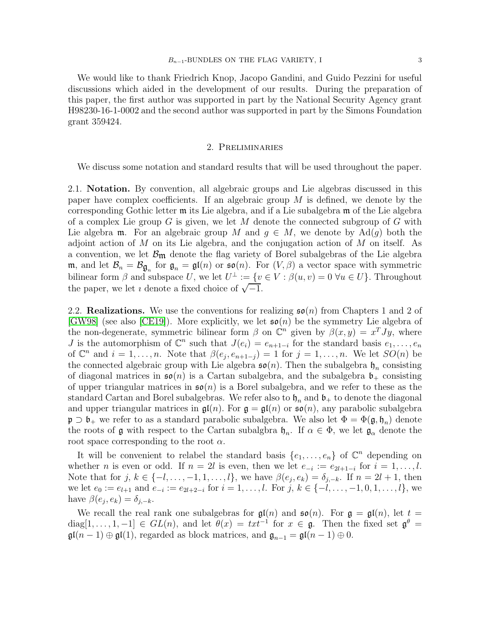We would like to thank Friedrich Knop, Jacopo Gandini, and Guido Pezzini for useful discussions which aided in the development of our results. During the preparation of this paper, the first author was supported in part by the National Security Agency grant H98230-16-1-0002 and the second author was supported in part by the Simons Foundation grant 359424.

### 2. Preliminaries

<span id="page-2-0"></span>We discuss some notation and standard results that will be used throughout the paper.

2.1. Notation. By convention, all algebraic groups and Lie algebras discussed in this paper have complex coefficients. If an algebraic group  $M$  is defined, we denote by the corresponding Gothic letter m its Lie algebra, and if a Lie subalgebra m of the Lie algebra of a complex Lie group G is given, we let M denote the connected subgroup of  $G$  with Lie algebra m. For an algebraic group M and  $q \in M$ , we denote by  $\text{Ad}(q)$  both the adjoint action of M on its Lie algebra, and the conjugation action of M on itself. As a convention, we let  $\mathcal{B}_{m}$  denote the flag variety of Borel subalgebras of the Lie algebra **m**, and let  $\mathcal{B}_n = \mathcal{B}_{\mathfrak{g}_n}$  for  $\mathfrak{g}_n = \mathfrak{gl}(n)$  or  $\mathfrak{so}(n)$ . For  $(V, \beta)$  a vector space with symmetric bilinear form  $\beta$  and subspace U, we let  $U^{\perp} := \{v \in V : \beta(u, v) = 0 \,\forall u \in U\}$ . Throughout the paper, we let  $\imath$  denote a fixed choice of  $\sqrt{-1}$ .

<span id="page-2-1"></span>2.2. **Realizations.** We use the conventions for realizing  $\mathfrak{so}(n)$  from Chapters 1 and 2 of [\[GW98\]](#page-22-2) (see also [\[CE19\]](#page-22-3)). More explicitly, we let  $\mathfrak{so}(n)$  be the symmetry Lie algebra of the non-degenerate, symmetric bilinear form  $\beta$  on  $\mathbb{C}^n$  given by  $\beta(x,y) = x^T J y$ , where J is the automorphism of  $\mathbb{C}^n$  such that  $J(e_i) = e_{n+1-i}$  for the standard basis  $e_1, \ldots, e_n$ of  $\mathbb{C}^n$  and  $i = 1, \ldots, n$ . Note that  $\beta(e_j, e_{n+1-j}) = 1$  for  $j = 1, \ldots, n$ . We let  $SO(n)$  be the connected algebraic group with Lie algebra  $\mathfrak{so}(n)$ . Then the subalgebra  $\mathfrak{h}_n$  consisting of diagonal matrices in  $\mathfrak{so}(n)$  is a Cartan subalgebra, and the subalgebra  $\mathfrak{b}_+$  consisting of upper triangular matrices in  $\mathfrak{so}(n)$  is a Borel subalgebra, and we refer to these as the standard Cartan and Borel subalgebras. We refer also to  $\mathfrak{h}_n$  and  $\mathfrak{b}_+$  to denote the diagonal and upper triangular matrices in  $\mathfrak{gl}(n)$ . For  $\mathfrak{g} = \mathfrak{gl}(n)$  or  $\mathfrak{so}(n)$ , any parabolic subalgebra  $\mathfrak{p} \supset \mathfrak{b}_+$  we refer to as a standard parabolic subalgebra. We also let  $\Phi = \Phi(\mathfrak{g}, \mathfrak{h}_n)$  denote the roots of  $\mathfrak g$  with respect to the Cartan subalgbra  $\mathfrak h_n$ . If  $\alpha \in \Phi$ , we let  $\mathfrak g_\alpha$  denote the root space corresponding to the root  $\alpha$ .

It will be convenient to relabel the standard basis  $\{e_1, \ldots, e_n\}$  of  $\mathbb{C}^n$  depending on whether *n* is even or odd. If  $n = 2l$  is even, then we let  $e_{-i} := e_{2l+1-i}$  for  $i = 1, \ldots, l$ . Note that for  $j, k \in \{-l, \ldots, -1, 1, \ldots, l\}$ , we have  $\beta(e_j, e_k) = \delta_{j-k}$ . If  $n = 2l + 1$ , then we let  $e_0 := e_{l+1}$  and  $e_{-i} := e_{2l+2-i}$  for  $i = 1, \ldots, l$ . For  $j, k \in \{-l, \ldots, -1, 0, 1, \ldots, l\}$ , we have  $\beta(e_j, e_k) = \delta_{j,-k}$ .

We recall the real rank one subalgebras for  $\mathfrak{gl}(n)$  and  $\mathfrak{so}(n)$ . For  $\mathfrak{g} = \mathfrak{gl}(n)$ , let  $t =$  $diag[1,\ldots,1,-1] \in GL(n)$ , and let  $\theta(x) = txt^{-1}$  for  $x \in \mathfrak{g}$ . Then the fixed set  $\mathfrak{g}^{\theta} =$  $\mathfrak{gl}(n-1)\oplus\mathfrak{gl}(1)$ , regarded as block matrices, and  $\mathfrak{g}_{n-1}=\mathfrak{gl}(n-1)\oplus 0$ .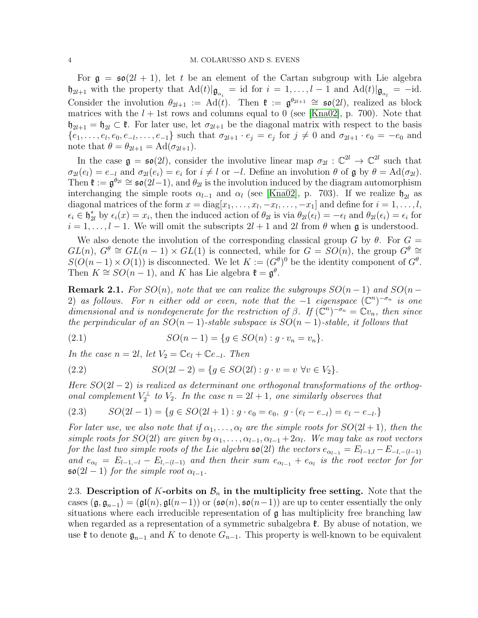For  $g = \epsilon \sigma(2l + 1)$ , let t be an element of the Cartan subgroup with Lie algebra  $\mathfrak{h}_{2l+1}$  with the property that  $\text{Ad}(t)|\mathfrak{g}_{\alpha_i} = \text{id}$  for  $i = 1, \ldots, l-1$  and  $\text{Ad}(t)|\mathfrak{g}_{\alpha_l} = -\text{id}$ . Consider the involution  $\theta_{2l+1} := \text{Ad}(t)$ . Then  $\mathfrak{k} := \mathfrak{g}^{\theta_{2l+1}} \cong \mathfrak{so}(2l)$ , realized as block matrices with the  $l + 1$ st rows and columns equal to 0 (see [\[Kna02\]](#page-22-4), p. 700). Note that  $\mathfrak{h}_{2l+1} = \mathfrak{h}_{2l} \subset \mathfrak{k}$ . For later use, let  $\sigma_{2l+1}$  be the diagonal matrix with respect to the basis  $\{e_1,\ldots,e_l,e_0,e_{-l},\ldots,e_{-1}\}\$  such that  $\sigma_{2l+1}\cdot e_j=e_j$  for  $j\neq 0$  and  $\sigma_{2l+1}\cdot e_0=-e_0$  and note that  $\theta = \theta_{2l+1} = \text{Ad}(\sigma_{2l+1}).$ 

In the case  $\mathfrak{g} = \mathfrak{so}(2l)$ , consider the involutive linear map  $\sigma_{2l} : \mathbb{C}^{2l} \to \mathbb{C}^{2l}$  such that  $\sigma_{2l}(e_l) = e_{-l}$  and  $\sigma_{2l}(e_i) = e_i$  for  $i \neq l$  or  $-l$ . Define an involution  $\theta$  of  $\mathfrak{g}$  by  $\theta = \text{Ad}(\sigma_{2l})$ . Then  $\mathfrak{k} := \mathfrak{g}^{\theta_{2l}} \cong \mathfrak{so}(2l-1)$ , and  $\theta_{2l}$  is the involution induced by the diagram automorphism interchanging the simple roots  $\alpha_{l-1}$  and  $\alpha_l$  (see [\[Kna02\]](#page-22-4), p. 703). If we realize  $\mathfrak{h}_{2l}$  as diagonal matrices of the form  $x = diag[x_1, \ldots, x_l, -x_l, \ldots, -x_1]$  and define for  $i = 1, \ldots, l$ ,  $\epsilon_i \in \mathfrak{h}_{2l}^*$  by  $\epsilon_i(x) = x_i$ , then the induced action of  $\theta_{2l}$  is via  $\theta_{2l}(\epsilon_i) = -\epsilon_l$  and  $\theta_{2l}(\epsilon_i) = \epsilon_i$  for  $i = 1, \ldots, l - 1$ . We will omit the subscripts  $2l + 1$  and  $2l$  from  $\theta$  when g is understood.

We also denote the involution of the corresponding classical group G by  $\theta$ . For  $G =$  $GL(n)$ ,  $G^{\theta} \cong GL(n-1) \times GL(1)$  is connected, while for  $G = SO(n)$ , the group  $G^{\theta} \cong$  $S(O(n-1) \times O(1))$  is disconnected. We let  $K := (G^{\theta})^0$  be the identity component of  $G^{\theta}$ . Then  $K \cong SO(n-1)$ , and K has Lie algebra  $\mathfrak{k} = \mathfrak{g}^{\theta}$ .

**Remark 2.1.** For  $SO(n)$ , note that we can realize the subgroups  $SO(n-1)$  and  $SO(n-1)$ 2) as follows. For n either odd or even, note that the  $-1$  eigenspace  $(\mathbb{C}^n)^{-\sigma_n}$  is one dimensional and is nondegenerate for the restriction of  $\beta$ . If  $(\mathbb{C}^n)^{-\sigma_n} = \mathbb{C}v_n$ , then since the perpindicular of an  $SO(n-1)$ -stable subspace is  $SO(n-1)$ -stable, it follows that

<span id="page-3-0"></span>(2.1) 
$$
SO(n-1) = \{g \in SO(n) : g \cdot v_n = v_n\}.
$$

In the case  $n = 2l$ , let  $V_2 = \mathbb{C}e_l + \mathbb{C}e_{-l}$ . Then

<span id="page-3-1"></span>(2.2) 
$$
SO(2l - 2) = \{g \in SO(2l) : g \cdot v = v \,\,\forall v \in V_2\}.
$$

Here  $SO(2l-2)$  is realized as determinant one orthogonal transformations of the orthogonal complement  $V_2^{\perp}$  to  $V_2$ . In the case  $n = 2l + 1$ , one similarly observes that

<span id="page-3-2"></span>
$$
(2.3) \qquad SO(2l-1) = \{ g \in SO(2l+1) : g \cdot e_0 = e_0, \ g \cdot (e_l - e_{-l}) = e_l - e_{-l} \}
$$

For later use, we also note that if  $\alpha_1, \ldots, \alpha_l$  are the simple roots for  $SO(2l+1)$ , then the simple roots for  $SO(2l)$  are given by  $\alpha_1, \ldots, \alpha_{l-1}, \alpha_{l-1}+2\alpha_l$ . We may take as root vectors for the last two simple roots of the Lie algebra  $\mathfrak{so}(2l)$  the vectors  $e_{\alpha_{l-1}} = E_{l-1,l} - E_{-l,-(l-1)}$ and  $e_{\alpha_l} = E_{l-1,-l} - E_{l,-(l-1)}$  and then their sum  $e_{\alpha_{l-1}} + e_{\alpha_l}$  is the root vector for for  $\mathfrak{so}(2l-1)$  for the simple root  $\alpha_{l-1}$ .

<span id="page-3-3"></span>2.3. Description of K-orbits on  $\mathcal{B}_n$  in the multiplicity free setting. Note that the cases  $(\mathfrak{g}, \mathfrak{g}_{n-1}) = (\mathfrak{gl}(n), \mathfrak{gl}(n-1))$  or  $(\mathfrak{so}(n), \mathfrak{so}(n-1))$  are up to center essentially the only situations where each irreducible representation of  $\mathfrak g$  has multiplicity free branching law when regarded as a representation of a symmetric subalgebra  $\mathfrak{k}$ . By abuse of notation, we use  $\mathfrak{k}$  to denote  $\mathfrak{g}_{n-1}$  and K to denote  $G_{n-1}$ . This property is well-known to be equivalent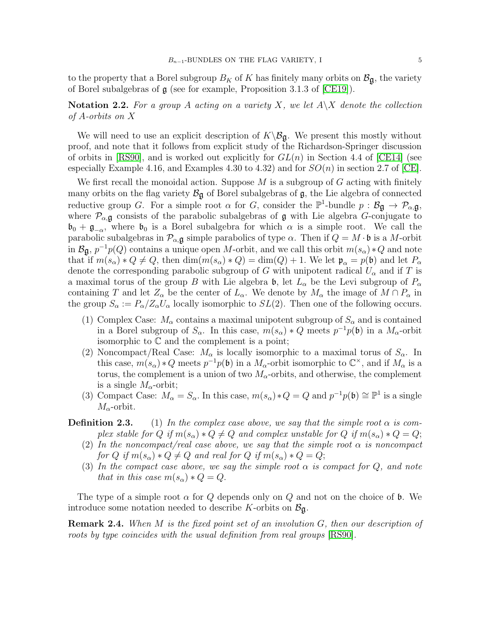to the property that a Borel subgroup  $B_K$  of K has finitely many orbits on  $\mathcal{B}_{\mathfrak{g}}$ , the variety of Borel subalgebras of g (see for example, Proposition 3.1.3 of [\[CE19\]](#page-22-3)).

<span id="page-4-0"></span>**Notation 2.2.** For a group A acting on a variety X, we let  $A \ X$  denote the collection of A-orbits on X

We will need to use an explicit description of  $K\backslash\mathcal{B}_{\mathfrak{g}}$ . We present this mostly without proof, and note that it follows from explicit study of the Richardson-Springer discussion of orbits in [\[RS90\]](#page-23-0), and is worked out explicitly for  $GL(n)$  in Section 4.4 of [\[CE14\]](#page-22-5) (see especially Example 4.16, and Examples 4.30 to 4.32) and for  $SO(n)$  in section 2.7 of [\[CE\]](#page-22-6).

We first recall the monoidal action. Suppose  $M$  is a subgroup of  $G$  acting with finitely many orbits on the flag variety  $\mathcal{B}_{\mathfrak{g}}$  of Borel subalgebras of  $\mathfrak{g}$ , the Lie algebra of connected reductive group G. For a simple root  $\alpha$  for G, consider the  $\mathbb{P}^1$ -bundle  $p : \mathcal{B}_{\mathfrak{g}} \to \mathcal{P}_{\alpha, \mathfrak{g}}$ , where  $\mathcal{P}_{\alpha,\mathbf{g}}$  consists of the parabolic subalgebras of  $\mathfrak g$  with Lie algebra G-conjugate to  $\mathfrak{b}_0 + \mathfrak{g}_{-\alpha}$ , where  $\mathfrak{b}_0$  is a Borel subalgebra for which  $\alpha$  is a simple root. We call the parabolic subalgebras in  $\mathcal{P}_{\alpha,\mathfrak{g}}$  simple parabolics of type  $\alpha$ . Then if  $Q = M \cdot \mathfrak{b}$  is a M-orbit in  $\mathcal{B}_{\mathfrak{g}}, p^{-1}p(Q)$  contains a unique open M-orbit, and we call this orbit  $m(s_\alpha) * Q$  and note that if  $m(s_\alpha)*Q\neq Q$ , then  $\dim(m(s_\alpha)*Q)=\dim(Q)+1$ . We let  $\mathfrak{p}_\alpha=p(\mathfrak{b})$  and let  $P_\alpha$ denote the corresponding parabolic subgroup of G with unipotent radical  $U_{\alpha}$  and if T is a maximal torus of the group B with Lie algebra  $\mathfrak{b}$ , let  $L_{\alpha}$  be the Levi subgroup of  $P_{\alpha}$ containing T and let  $Z_\alpha$  be the center of  $L_\alpha$ . We denote by  $M_\alpha$  the image of  $M \cap P_\alpha$  in the group  $S_{\alpha} := P_{\alpha}/Z_{\alpha}U_{\alpha}$  locally isomorphic to  $SL(2)$ . Then one of the following occurs.

- (1) Complex Case:  $M_{\alpha}$  contains a maximal unipotent subgroup of  $S_{\alpha}$  and is contained in a Borel subgroup of  $S_{\alpha}$ . In this case,  $m(s_{\alpha}) * Q$  meets  $p^{-1}p(\mathfrak{b})$  in a  $M_{\alpha}$ -orbit isomorphic to  $\mathbb C$  and the complement is a point;
- (2) Noncompact/Real Case:  $M_{\alpha}$  is locally isomorphic to a maximal torus of  $S_{\alpha}$ . In this case,  $m(s_\alpha) * Q$  meets  $p^{-1}p(\mathfrak{b})$  in a  $M_\alpha$ -orbit isomorphic to  $\mathbb{C}^\times$ , and if  $M_\alpha$  is a torus, the complement is a union of two  $M_{\alpha}$ -orbits, and otherwise, the complement is a single  $M_{\alpha}$ -orbit;
- (3) Compact Case:  $M_{\alpha} = S_{\alpha}$ . In this case,  $m(s_{\alpha}) * Q = Q$  and  $p^{-1}p(\mathfrak{b}) \cong \mathbb{P}^1$  is a single  $M_{\alpha}$ -orbit.

**Definition 2.3.** (1) In the complex case above, we say that the simple root  $\alpha$  is complex stable for Q if  $m(s_0) * Q \neq Q$  and complex unstable for Q if  $m(s_0) * Q = Q$ ;

- (2) In the noncompact/real case above, we say that the simple root  $\alpha$  is noncompact for Q if  $m(s_\alpha)*Q \neq Q$  and real for  $Q$  if  $m(s_\alpha)*Q = Q$ ;
- (3) In the compact case above, we say the simple root  $\alpha$  is compact for Q, and note that in this case  $m(s_\alpha)*Q=Q$ .

The type of a simple root  $\alpha$  for Q depends only on Q and not on the choice of b. We introduce some notation needed to describe K-orbits on  $B_{\mathfrak{g}}$ .

Remark 2.4. When M is the fixed point set of an involution G, then our description of roots by type coincides with the usual definition from real groups [\[RS90\]](#page-23-0).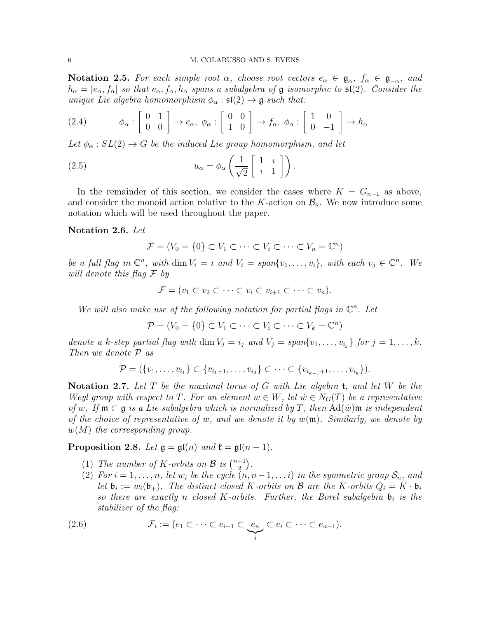Notation 2.5. For each simple root  $\alpha$ , choose root vectors  $e_{\alpha} \in \mathfrak{g}_{\alpha}, f_{\alpha} \in \mathfrak{g}_{-\alpha}$ , and  $h_{\alpha} = [e_{\alpha}, f_{\alpha}]$  so that  $e_{\alpha}, f_{\alpha}, h_{\alpha}$  spans a subalgebra of  $\mathfrak g$  isomorphic to  $\mathfrak{sl}(2)$ . Consider the unique Lie algebra homomorphism  $\phi_{\alpha} : \mathfrak{sl}(2) \to \mathfrak{g}$  such that:

(2.4) 
$$
\phi_{\alpha} : \begin{bmatrix} 0 & 1 \\ 0 & 0 \end{bmatrix} \to e_{\alpha}, \ \phi_{\alpha} : \begin{bmatrix} 0 & 0 \\ 1 & 0 \end{bmatrix} \to f_{\alpha}, \ \phi_{\alpha} : \begin{bmatrix} 1 & 0 \\ 0 & -1 \end{bmatrix} \to h_{\alpha}
$$

Let  $\phi_{\alpha} : SL(2) \rightarrow G$  be the induced Lie group homomorphism, and let

(2.5) 
$$
u_{\alpha} = \phi_{\alpha} \left( \frac{1}{\sqrt{2}} \begin{bmatrix} 1 & i \\ i & 1 \end{bmatrix} \right).
$$

In the remainder of this section, we consider the cases where  $K = G_{n-1}$  as above, and consider the monoid action relative to the K-action on  $\mathcal{B}_n$ . We now introduce some notation which will be used throughout the paper.

### Notation 2.6. Let

<span id="page-5-1"></span>
$$
\mathcal{F} = (V_0 = \{0\} \subset V_1 \subset \cdots \subset V_i \subset \cdots \subset V_n = \mathbb{C}^n)
$$

be a full flag in  $\mathbb{C}^n$ , with dim  $V_i = i$  and  $V_i = span\{v_1, \ldots, v_i\}$ , with each  $v_j \in \mathbb{C}^n$ . We will denote this flag F by

$$
\mathcal{F} = (v_1 \subset v_2 \subset \cdots \subset v_i \subset v_{i+1} \subset \cdots \subset v_n).
$$

We will also make use of the following notation for partial flags in  $\mathbb{C}^n$ . Let

 $\mathcal{P} = (V_0 = \{0\} \subset V_1 \subset \cdots \subset V_i \subset \cdots \subset V_k = \mathbb{C}^n)$ 

denote a k-step partial flag with  $\dim V_j = i_j$  and  $V_j = span{v_1, \ldots, v_{i_j}}$  for  $j = 1, \ldots, k$ . Then we denote P as

$$
\mathcal{P} = (\{v_1, \ldots, v_{i_1}\} \subset \{v_{i_1+1}, \ldots, v_{i_2}\} \subset \cdots \subset \{v_{i_{k-1}+1}, \ldots, v_{i_k}\}).
$$

Notation 2.7. Let  $T$  be the maximal torus of  $G$  with Lie algebra  $t$ , and let  $W$  be the Weyl group with respect to T. For an element  $w \in W$ , let  $\dot{w} \in N_G(T)$  be a representative of w. If  $\mathfrak{m} \subset \mathfrak{g}$  is a Lie subalgebra which is normalized by T, then  $\text{Ad}(\dot{w})\mathfrak{m}$  is independent of the choice of representative of w, and we denote it by  $w(\mathfrak{m})$ . Similarly, we denote by  $w(M)$  the corresponding group.

<span id="page-5-0"></span>Proposition 2.8. Let  $\mathfrak{g} = \mathfrak{gl}(n)$  and  $\mathfrak{k} = \mathfrak{gl}(n-1)$ .

- (1) The number of K-orbits on  $\mathcal{B}$  is  $\binom{n+1}{2}$  $\binom{+1}{2}$ .
- (2) For  $i = 1, \ldots, n$ , let  $w_i$  be the cycle  $(n, n-1, \ldots, i)$  in the symmetric group  $S_n$ , and let  $\mathfrak{b}_i := w_i(\mathfrak{b}_+)$ . The distinct closed K-orbits on B are the K-orbits  $Q_i = K \cdot \mathfrak{b}_i$ so there are exactly n closed K-orbits. Further, the Borel subalgebra  $\mathfrak{b}_i$  is the stabilizer of the flag:

(2.6) 
$$
\mathcal{F}_i := (e_1 \subset \cdots \subset e_{i-1} \subset \underbrace{e_n}_{i} \subset e_i \subset \cdots \subset e_{n-1}).
$$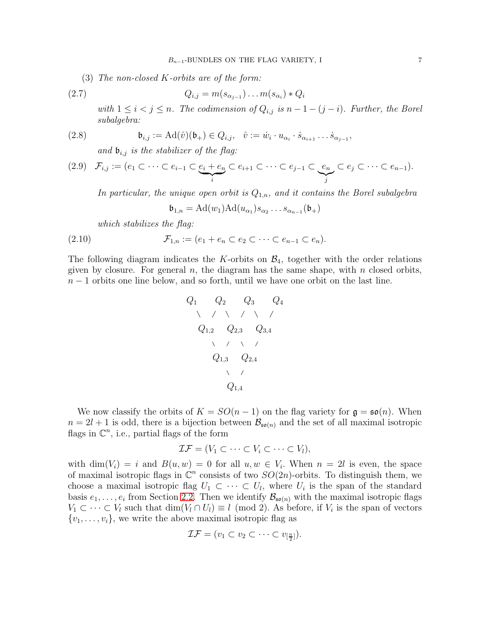(3) The non-closed K-orbits are of the form:

$$
(2.7) \tQ_{i,j} = m(s_{\alpha_{j-1}}) \dots m(s_{\alpha_i}) * Q_i
$$

with  $1 \leq i < j \leq n$ . The codimension of  $Q_{i,j}$  is  $n-1-(j-i)$ . Further, the Borel subalgebra:

(2.8) 
$$
\mathfrak{b}_{i,j} := \mathrm{Ad}(\hat{v})(\mathfrak{b}_+) \in Q_{i,j}, \quad \hat{v} := \dot{w}_i \cdot u_{\alpha_i} \cdot \dot{s}_{\alpha_{i+1}} \dots \dot{s}_{\alpha_{j-1}},
$$

<span id="page-6-1"></span><span id="page-6-0"></span>and  $\mathfrak{b}_{i,j}$  is the stabilizer of the flag:

$$
(2.9) \quad \mathcal{F}_{i,j} := (e_1 \subset \cdots \subset e_{i-1} \subset \underbrace{e_i + e_n}_{i} \subset e_{i+1} \subset \cdots \subset e_{j-1} \subset \underbrace{e_n}_{j} \subset e_j \subset \cdots \subset e_{n-1}).
$$

In particular, the unique open orbit is  $Q_{1,n}$ , and it contains the Borel subalgebra

$$
\mathfrak{b}_{1,n} = \mathrm{Ad}(w_1)\mathrm{Ad}(u_{\alpha_1})s_{\alpha_2}\ldots s_{\alpha_{n-1}}(\mathfrak{b}_+)
$$

which stabilizes the flag:

$$
(2.10) \qquad \qquad \mathcal{F}_{1,n} := (e_1 + e_n \subset e_2 \subset \cdots \subset e_{n-1} \subset e_n).
$$

The following diagram indicates the K-orbits on  $\mathcal{B}_4$ , together with the order relations given by closure. For general  $n$ , the diagram has the same shape, with  $n$  closed orbits,  $n-1$  orbits one line below, and so forth, until we have one orbit on the last line.

Q<sup>1</sup> Q<sup>2</sup> Q<sup>3</sup> Q<sup>4</sup> Q1,<sup>2</sup> Q2,<sup>3</sup> Q3,<sup>4</sup> Q1,<sup>3</sup> Q2,<sup>4</sup> Q1,<sup>4</sup>

We now classify the orbits of  $K = SO(n-1)$  on the flag variety for  $\mathfrak{g} = \mathfrak{so}(n)$ . When  $n = 2l + 1$  is odd, there is a bijection between  $\mathcal{B}_{\mathfrak{so}(n)}$  and the set of all maximal isotropic flags in  $\mathbb{C}^n$ , i.e., partial flags of the form

$$
\mathcal{IF} = (V_1 \subset \cdots \subset V_i \subset \cdots \subset V_l),
$$

with  $\dim(V_i) = i$  and  $B(u, w) = 0$  for all  $u, w \in V_i$ . When  $n = 2l$  is even, the space of maximal isotropic flags in  $\mathbb{C}^n$  consists of two  $SO(2n)$ -orbits. To distinguish them, we choose a maximal isotropic flag  $U_1 \subset \cdots \subset U_l$ , where  $U_i$  is the span of the standard basis  $e_1, \ldots, e_i$  from Section [2.2.](#page-2-1) Then we identify  $\mathcal{B}_{\mathfrak{so}(n)}$  with the maximal isotropic flags  $V_1 \subset \cdots \subset V_l$  such that  $\dim(V_l \cap U_l) \equiv l \pmod{2}$ . As before, if  $V_i$  is the span of vectors  $\{v_1, \ldots, v_i\}$ , we write the above maximal isotropic flag as

$$
\mathcal{IF} = (v_1 \subset v_2 \subset \cdots \subset v_{\left[\frac{n}{2}\right]}).
$$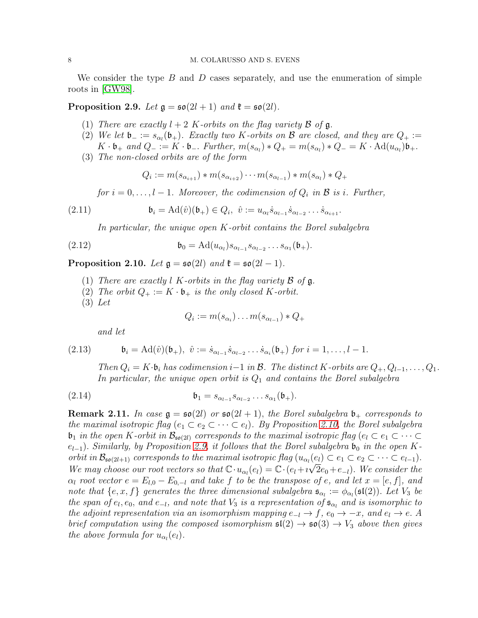We consider the type  $B$  and  $D$  cases separately, and use the enumeration of simple roots in [\[GW98\]](#page-22-2).

<span id="page-7-0"></span>Proposition 2.9. Let  $\mathfrak{g} = \mathfrak{so}(2l + 1)$  and  $\mathfrak{k} = \mathfrak{so}(2l)$ .

- (1) There are exactly  $l + 2$  K-orbits on the flag variety  $\beta$  of  $\mathfrak{g}$ .
- (2) We let  $\mathfrak{b}_- := s_{\alpha_l}(\mathfrak{b}_+)$ . Exactly two K-orbits on B are closed, and they are  $Q_+ :=$  $K \cdot \mathfrak{b}_+$  and  $Q_- := K \cdot \mathfrak{b}_-$ . Further,  $m(s_{\alpha_l}) * Q_+ = m(s_{\alpha_l}) * Q_- = K \cdot \text{Ad}(u_{\alpha_l}) \mathfrak{b}_+.$
- (3) The non-closed orbits are of the form

<span id="page-7-4"></span>
$$
Q_i := m(s_{\alpha_{i+1}}) * m(s_{\alpha_{i+2}}) \cdots m(s_{\alpha_{l-1}}) * m(s_{\alpha_l}) * Q_+
$$

for  $i = 0, \ldots, l - 1$ . Moreover, the codimension of  $Q_i$  in  $\mathcal{B}$  is i. Further,

(2.11) 
$$
\mathfrak{b}_i = \mathrm{Ad}(\hat{v})(\mathfrak{b}_+) \in Q_i, \ \hat{v} := u_{\alpha_i} \dot{s}_{\alpha_{l-1}} \dot{s}_{\alpha_{l-2}} \dots \dot{s}_{\alpha_{i+1}}.
$$

In particular, the unique open K-orbit contains the Borel subalgebra

(2.12) 
$$
\mathfrak{b}_0 = \mathrm{Ad}(u_{\alpha_l}) s_{\alpha_{l-1}} s_{\alpha_{l-2}} \dots s_{\alpha_1}(\mathfrak{b}_+).
$$

<span id="page-7-1"></span>Proposition 2.10. Let  $\mathfrak{g} = \mathfrak{so}(2l)$  and  $\mathfrak{k} = \mathfrak{so}(2l-1)$ .

- (1) There are exactly l K-orbits in the flag variety  $\beta$  of  $\mathfrak{g}$ .
- (2) The orbit  $Q_+ := K \cdot \mathfrak{b}_+$  is the only closed K-orbit.
- (3) Let

<span id="page-7-2"></span>
$$
Q_i := m(s_{\alpha_i}) \dots m(s_{\alpha_{l-1}}) * Q_+
$$

<span id="page-7-5"></span>and let

(2.13) 
$$
\mathfrak{b}_i = \mathrm{Ad}(\hat{v})(\mathfrak{b}_+), \; \hat{v} := \dot{s}_{\alpha_{l-1}} \dot{s}_{\alpha_{l-2}} \dots \dot{s}_{\alpha_i}(\mathfrak{b}_+) \; \text{for} \; i = 1, \dots, l-1.
$$

Then  $Q_i = K \cdot \mathfrak{b}_i$  has codimension  $i-1$  in  $\mathcal{B}$ . The distinct K-orbits are  $Q_+, Q_{l-1}, \ldots, Q_1$ . In particular, the unique open orbit is  $Q_1$  and contains the Borel subalgebra

$$
\mathfrak{b}_1 = s_{\alpha_{l-1}} s_{\alpha_{l-2}} \dots s_{\alpha_1}(\mathfrak{b}_+).
$$

<span id="page-7-3"></span>**Remark 2.11.** In case  $g = \mathfrak{so}(2l)$  or  $\mathfrak{so}(2l + 1)$ , the Borel subalgebra  $\mathfrak{b}_+$  corresponds to the maximal isotropic flag  $(e_1 \subset e_2 \subset \cdots \subset e_l)$ . By Proposition [2.10,](#page-7-1) the Borel subalgebra  $\mathfrak{b}_1$  in the open K-orbit in  $\mathcal{B}_{\mathfrak{so}(2l)}$  corresponds to the maximal isotropic flag  $(e_l \subset e_1 \subset \cdots \subset e_l)$  $e_{l-1}$ ). Similarly, by Proposition [2.9,](#page-7-0) it follows that the Borel subalgebra  $\mathfrak{b}_0$  in the open Korbit in  $\mathcal{B}_{\mathfrak{so}(2l+1)}$  corresponds to the maximal isotropic flag  $(u_{\alpha_l}(e_l) \subset e_1 \subset e_2 \subset \cdots \subset e_{l-1})$ . We may choose our root vectors so that  $\mathbb{C} \cdot u_{\alpha_l}(e_l) = \mathbb{C} \cdot (e_l + i \sqrt{2} e_0 + e_{-l})$ . We consider the  $\alpha_l$  root vector  $e = E_{l,0} - E_{0,-l}$  and take f to be the transpose of e, and let  $x = [e, f]$ , and note that  $\{e, x, f\}$  generates the three dimensional subalgebra  $\mathfrak{s}_{\alpha_l} := \phi_{\alpha_l}(\mathfrak{sl}(2))$ . Let  $V_3$  be the span of  $e_l, e_0$ , and  $e_{-l}$ , and note that  $V_3$  is a representation of  $\mathfrak{s}_{\alpha_l}$  and is isomorphic to the adjoint representation via an isomorphism mapping  $e_{-l} \to f$ ,  $e_0 \to -x$ , and  $e_l \to e$ . A brief computation using the composed isomorphism  $\mathfrak{sl}(2) \to \mathfrak{so}(3) \to V_3$  above then gives the above formula for  $u_{\alpha_l}(e_l)$ .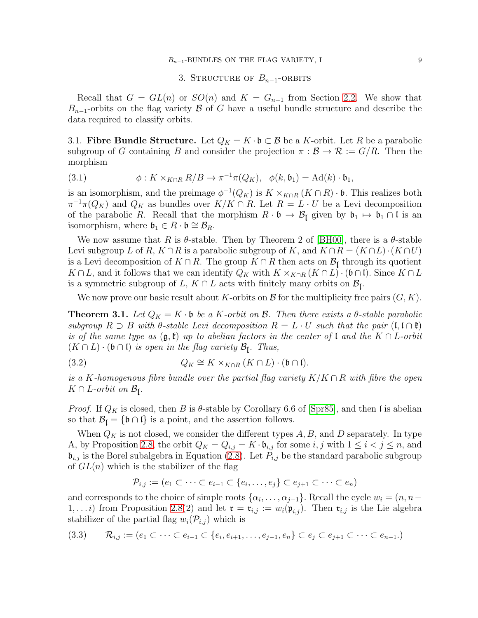#### $B_{n-1}$ -BUNDLES ON THE FLAG VARIETY, I 9

### 3. STRUCTURE OF  $B_{n-1}$ -ORBITS

<span id="page-8-1"></span>Recall that  $G = GL(n)$  or  $SO(n)$  and  $K = G_{n-1}$  from Section [2.2.](#page-2-1) We show that  $B_{n-1}$ -orbits on the flag variety B of G have a useful bundle structure and describe the data required to classify orbits.

3.1. Fibre Bundle Structure. Let  $Q_K = K \cdot \mathfrak{b} \subset \mathcal{B}$  be a K-orbit. Let R be a parabolic subgroup of G containing B and consider the projection  $\pi : \mathcal{B} \to \mathcal{R} := G/R$ . Then the morphism

<span id="page-8-4"></span>(3.1) 
$$
\phi: K \times_{K \cap R} R/B \to \pi^{-1} \pi(Q_K), \quad \phi(k, \mathfrak{b}_1) = \mathrm{Ad}(k) \cdot \mathfrak{b}_1,
$$

is an isomorphism, and the preimage  $\phi^{-1}(Q_K)$  is  $K \times_{K \cap R} (K \cap R) \cdot \mathfrak{b}$ . This realizes both  $\pi^{-1}\pi(Q_K)$  and  $Q_K$  as bundles over  $K/K \cap R$ . Let  $R = L \cdot U$  be a Levi decomposition of the parabolic R. Recall that the morphism  $R \cdot \mathfrak{b} \to \mathcal{B}_{\mathfrak{l}}$  given by  $\mathfrak{b}_1 \mapsto \mathfrak{b}_1 \cap \mathfrak{l}$  is an isomorphism, where  $\mathfrak{b}_1 \in R \cdot \mathfrak{b} \cong \mathcal{B}_R$ .

We now assume that R is  $\theta$ -stable. Then by Theorem 2 of [\[BH00\]](#page-22-7), there is a  $\theta$ -stable Levi subgroup L of R,  $K \cap R$  is a parabolic subgroup of K, and  $K \cap R = (K \cap L) \cdot (K \cap U)$ is a Levi decomposition of  $K \cap R$ . The group  $K \cap R$  then acts on  $\mathcal{B}_{\mathfrak{l}}$  through its quotient  $K \cap L$ , and it follows that we can identify  $Q_K$  with  $K \times_{K \cap R} (K \cap L) \cdot (\mathfrak{b} \cap \mathfrak{l})$ . Since  $K \cap L$ is a symmetric subgroup of L,  $K \cap L$  acts with finitely many orbits on  $\mathcal{B}_{\mathfrak{l}}$ .

We now prove our basic result about K-orbits on  $\mathcal B$  for the multiplicity free pairs  $(G, K)$ .

<span id="page-8-2"></span>**Theorem 3.1.** Let  $Q_K = K \cdot \mathfrak{b}$  be a K-orbit on B. Then there exists a  $\theta$ -stable parabolic subgroup  $R \supset B$  with  $\theta$ -stable Levi decomposition  $R = L \cdot U$  such that the pair  $(\mathfrak{l}, \mathfrak{l} \cap \mathfrak{k})$ is of the same type as  $(\mathfrak{g},\mathfrak{k})$  up to abelian factors in the center of l and the  $K \cap L$ -orbit  $(K \cap L) \cdot (\mathfrak{b} \cap \mathfrak{l})$  is open in the flag variety  $\mathcal{B}_{\mathfrak{l}}$ . Thus,

<span id="page-8-3"></span>(3.2) 
$$
Q_K \cong K \times_{K \cap R} (K \cap L) \cdot (\mathfrak{b} \cap \mathfrak{l}).
$$

is a K-homogenous fibre bundle over the partial flag variety  $K/K \cap R$  with fibre the open  $K \cap L$ -orbit on  $\mathcal{B}_{\mathfrak{l}}$ .

*Proof.* If  $Q_K$  is closed, then B is  $\theta$ -stable by Corollary 6.6 of [\[Spr85\]](#page-23-1), and then l is abelian so that  $\mathcal{B}_{\mathfrak{l}} = {\mathfrak{b} \cap \mathfrak{l}}$  is a point, and the assertion follows.

When  $Q_K$  is not closed, we consider the different types  $A, B$ , and D separately. In type A, by Proposition [2.8,](#page-5-0) the orbit  $Q_K = Q_{i,j} = K \cdot \mathfrak{b}_{i,j}$  for some  $i, j$  with  $1 \leq i < j \leq n$ , and  $\mathfrak{b}_{i,j}$  is the Borel subalgebra in Equation [\(2.8\)](#page-6-0). Let  $P_{i,j}$  be the standard parabolic subgroup of  $GL(n)$  which is the stabilizer of the flag

$$
\mathcal{P}_{i,j} := (e_1 \subset \cdots \subset e_{i-1} \subset \{e_i, \ldots, e_j\} \subset e_{j+1} \subset \cdots \subset e_n)
$$

and corresponds to the choice of simple roots  $\{\alpha_i, \dots, \alpha_{j-1}\}$ . Recall the cycle  $w_i = (n, n-\alpha_i)$  $(1, \ldots i)$  from Proposition [2.8\(](#page-5-0)2) and let  $\mathfrak{r} = \mathfrak{r}_{i,j} := w_i(\mathfrak{p}_{i,j})$ . Then  $\mathfrak{r}_{i,j}$  is the Lie algebra stabilizer of the partial flag  $w_i(\mathcal{P}_{i,j})$  which is

<span id="page-8-0"></span>
$$
(3.3) \qquad \mathcal{R}_{i,j} := (e_1 \subset \cdots \subset e_{i-1} \subset \{e_i, e_{i+1}, \ldots, e_{j-1}, e_n\} \subset e_j \subset e_{j+1} \subset \cdots \subset e_{n-1}).
$$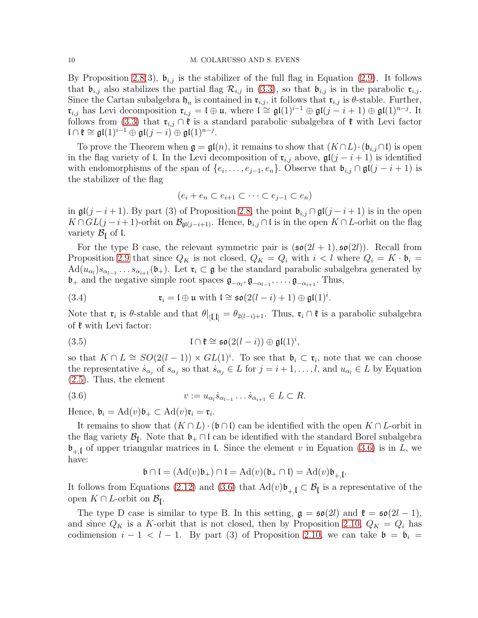By Proposition [2.8\(](#page-5-0)3),  $\mathfrak{b}_{i,j}$  is the stabilizer of the full flag in Equation [\(2.9\)](#page-6-1). It follows that  $\mathfrak{b}_{i,j}$  also stabilizes the partial flag  $\mathcal{R}_{i,j}$  in [\(3.3\)](#page-8-0), so that  $\mathfrak{b}_{i,j}$  is in the parabolic  $\mathfrak{r}_{i,j}$ . Since the Cartan subalgebra  $\mathfrak{h}_n$  is contained in  $\mathfrak{r}_{i,j}$ , it follows that  $\mathfrak{r}_{i,j}$  is  $\theta$ -stable. Further,  $\mathfrak{r}_{i,j}$  has Levi decomposition  $\mathfrak{r}_{i,j} = \mathfrak{l} \oplus \mathfrak{u}$ , where  $\mathfrak{l} \cong \mathfrak{gl}(1)^{i-1} \oplus \mathfrak{gl}(j-i+1) \oplus \mathfrak{gl}(1)^{n-j}$ . It follows from [\(3.3\)](#page-8-0) that  $\mathfrak{r}_{i,j} \cap \mathfrak{k}$  is a standard parabolic subalgebra of  $\mathfrak{k}$  with Levi factor  $\mathfrak{l} \cap \mathfrak{k} \cong \mathfrak{gl}(1)^{i-1} \oplus \mathfrak{gl}(j-i) \oplus \mathfrak{gl}(1)^{n-j}.$ 

To prove the Theorem when  $\mathfrak{g} = \mathfrak{gl}(n)$ , it remains to show that  $(K \cap L) \cdot (\mathfrak{b}_{i,j} \cap \mathfrak{l})$  is open in the flag variety of l. In the Levi decomposition of  $\mathfrak{r}_{i,j}$  above,  $\mathfrak{gl}(j-i+1)$  is identified with endomorphisms of the span of  $\{e_i, \ldots, e_{j-1}, e_n\}$ . Observe that  $\mathfrak{b}_{i,j} \cap \mathfrak{gl}(j-i+1)$  is the stabilizer of the flag

$$
(e_i + e_n \subset e_{i+1} \subset \cdots \subset e_{j-1} \subset e_n)
$$

in  $\mathfrak{gl}(j-i+1)$ . By part (3) of Proposition [2.8,](#page-5-0) the point  $\mathfrak{b}_{i,j} \cap \mathfrak{gl}(j-i+1)$  is in the open  $K \cap GL(j-i+1)$ -orbit on  $\mathcal{B}_{\mathfrak{gl}(j-i+1)}$ . Hence,  $\mathfrak{b}_{i,j} \cap \mathfrak{l}$  is in the open  $K \cap L$ -orbit on the flag variety  $\mathcal{B}_{\mathfrak{l}}$  of  $\mathfrak{l}$ .

For the type B case, the relevant symmetric pair is  $(\mathfrak{so}(2l+1), \mathfrak{so}(2l))$ . Recall from Proposition [2.9](#page-7-0) that since  $Q_K$  is not closed,  $Q_K = Q_i$  with  $i < l$  where  $Q_i = K \cdot \mathfrak{b}_i =$  $\text{Ad}(u_{\alpha_l})s_{\alpha_{l-1}}\ldots s_{\alpha_{i+1}}(\mathfrak{b}_+)$ . Let  $\mathfrak{r}_i\subset\mathfrak{g}$  be the standard parabolic subalgebra generated by  $\mathfrak{b}_+$  and the negative simple root spaces  $\mathfrak{g}_{-\alpha_l}, \mathfrak{g}_{-\alpha_{l-1}}, \ldots, \mathfrak{g}_{-\alpha_{i+1}}$ . Thus,

<span id="page-9-0"></span>(3.4) 
$$
\mathfrak{r}_i = \mathfrak{l} \oplus \mathfrak{u} \text{ with } \mathfrak{l} \cong \mathfrak{so}(2(l-i)+1) \oplus \mathfrak{gl}(1)^i.
$$

Note that  $\mathfrak{r}_i$  is  $\theta$ -stable and that  $\theta|_{[\mathfrak{l},\mathfrak{l}]} = \theta_{2(l-i)+1}$ . Thus,  $\mathfrak{r}_i \cap \mathfrak{k}$  is a parabolic subalgebra of  $\mathfrak k$  with Levi factor:

(3.5) 
$$
\mathfrak{l} \cap \mathfrak{k} \cong \mathfrak{so}(2(l-i)) \oplus \mathfrak{gl}(1)^i,
$$

so that  $K \cap L \cong SO(2(l-1)) \times GL(1)^i$ . To see that  $\mathfrak{b}_i \subset \mathfrak{r}_i$ , note that we can choose the representative  $s_{\alpha_j}$  of  $s_{\alpha_j}$  so that  $\dot{s}_{\alpha_j} \in L$  for  $j = i+1, \ldots, l$ , and  $u_{\alpha_l} \in L$  by Equation [\(2.5\)](#page-5-1). Thus, the element

(3.6) 
$$
v := u_{\alpha_l} \dot{s}_{\alpha_{l-1}} \dots \dot{s}_{\alpha_{i+1}} \in L \subset R.
$$

Hence,  $\mathfrak{b}_i = \mathrm{Ad}(v)\mathfrak{b}_+ \subset \mathrm{Ad}(v)\mathfrak{r}_i = \mathfrak{r}_i.$ 

It remains to show that  $(K \cap L) \cdot (\mathfrak{b} \cap \mathfrak{l})$  can be identified with the open  $K \cap L$ -orbit in the flag variety  $\mathcal{B}_{\mathfrak{l}}$ . Note that  $\mathfrak{b}_+ \cap \mathfrak{l}$  can be identified with the standard Borel subalgebra  $\mathfrak{b}_{+,\mathfrak{l}}$  of upper triangular matrices in l. Since the element v in Equation [\(3.6\)](#page-9-1) is in L, we have:

<span id="page-9-1"></span>
$$
\mathfrak{b} \cap \mathfrak{l} = (\mathrm{Ad}(v)\mathfrak{b}_{+}) \cap \mathfrak{l} = \mathrm{Ad}(v)(\mathfrak{b}_{+} \cap \mathfrak{l}) = \mathrm{Ad}(v)\mathfrak{b}_{+,\mathfrak{l}}.
$$

It follows from Equations [\(2.12\)](#page-7-2) and [\(3.6\)](#page-9-1) that  $\text{Ad}(v)\mathfrak{b}_{+,\mathfrak{l}} \subset \mathcal{B}_{\mathfrak{l}}$  is a representative of the open  $K \cap L$ -orbit on  $\mathcal{B}_{\mathfrak{l}}$ .

The type D case is similar to type B. In this setting,  $\mathfrak{g} = \mathfrak{so}(2l)$  and  $\mathfrak{k} = \mathfrak{so}(2l-1)$ , and since  $Q_K$  is a K-orbit that is not closed, then by Proposition [2.10,](#page-7-1)  $Q_K = Q_i$  has codimension  $i - 1 < l - 1$ . By part (3) of Proposition [2.10,](#page-7-1) we can take  $\mathfrak{b} = \mathfrak{b}_i =$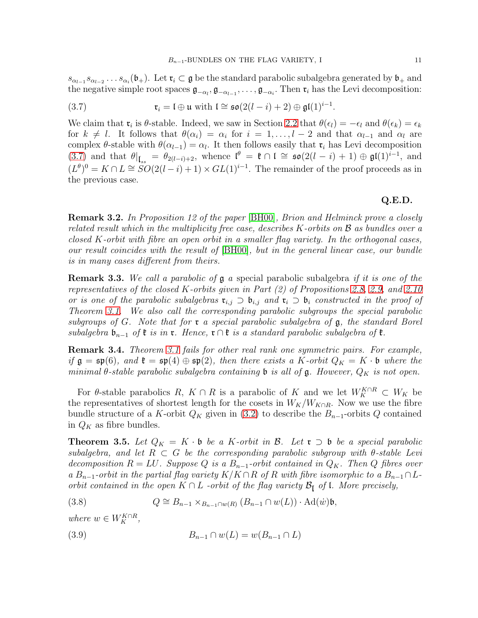$s_{\alpha_{l-1}} s_{\alpha_{l-2}} \ldots s_{\alpha_i}(\mathfrak{b}_+)$ . Let  $\mathfrak{r}_i \subset \mathfrak{g}$  be the standard parabolic subalgebra generated by  $\mathfrak{b}_+$  and the negative simple root spaces  $\mathfrak{g}_{-\alpha_l}, \mathfrak{g}_{-\alpha_{l-1}}, \ldots, \mathfrak{g}_{-\alpha_i}$ . Then  $\mathfrak{r}_i$  has the Levi decomposition:

<span id="page-10-0"></span>(3.7) 
$$
\mathfrak{r}_i = \mathfrak{l} \oplus \mathfrak{u} \text{ with } \mathfrak{l} \cong \mathfrak{so}(2(l-i)+2) \oplus \mathfrak{gl}(1)^{i-1}.
$$

We claim that  $\mathfrak{r}_i$  is  $\theta$ -stable. Indeed, we saw in Section [2.2](#page-2-1) that  $\theta(\epsilon_l) = -\epsilon_l$  and  $\theta(\epsilon_k) = \epsilon_k$ for  $k \neq l$ . It follows that  $\theta(\alpha_i) = \alpha_i$  for  $i = 1, \ldots, l-2$  and that  $\alpha_{l-1}$  and  $\alpha_l$  are complex  $\theta$ -stable with  $\theta(\alpha_{l-1}) = \alpha_l$ . It then follows easily that  $\mathfrak{r}_i$  has Levi decomposition [\(3.7\)](#page-10-0) and that  $\theta|_{\mathfrak{l}_{ss}} = \theta_{2(l-i)+2}$ , whence  $\mathfrak{l}^{\theta} = \mathfrak{k} \cap \mathfrak{l} \cong \mathfrak{so}(2(l-i)+1) \oplus \mathfrak{gl}(1)^{i-1}$ , and  $(L^{\theta})^0 = K \cap L \cong SO(2(l - i) + 1) \times GL(1)^{i-1}$ . The remainder of the proof proceeds as in the previous case.

# Q.E.D.

Remark 3.2. In Proposition 12 of the paper [\[BH00\]](#page-22-7), Brion and Helminck prove a closely related result which in the multiplicity free case, describes K-orbits on B as bundles over a closed K-orbit with fibre an open orbit in a smaller flag variety. In the orthogonal cases, our result coincides with the result of [\[BH00\]](#page-22-7), but in the general linear case, our bundle is in many cases different from theirs.

<span id="page-10-1"></span>Remark 3.3. We call a parabolic of g a special parabolic subalgebra if it is one of the representatives of the closed K-orbits given in Part (2) of Propositions [2.8,](#page-5-0) [2.9,](#page-7-0) and [2.10](#page-7-1) or is one of the parabolic subalgebras  $\mathfrak{r}_{i,j} \supset \mathfrak{b}_{i,j}$  and  $\mathfrak{r}_i \supset \mathfrak{b}_i$  constructed in the proof of Theorem [3.1.](#page-8-2) We also call the corresponding parabolic subgroups the special parabolic subgroups of G. Note that for **c** a special parabolic subalgebra of  $\mathfrak{g}$ , the standard Borel subalgebra  $\mathfrak{b}_{n-1}$  of  $\mathfrak{k}$  is in  $\mathfrak{r}$ . Hence,  $\mathfrak{r} \cap \mathfrak{k}$  is a standard parabolic subalgebra of  $\mathfrak{k}$ .

**Remark 3.4.** Theorem [3.1](#page-8-2) fails for other real rank one symmetric pairs. For example, if  $\mathfrak{g} = \mathfrak{sp}(6)$ , and  $\mathfrak{k} = \mathfrak{sp}(4) \oplus \mathfrak{sp}(2)$ , then there exists a K-orbit  $Q_K = K \cdot \mathfrak{b}$  where the minimal  $\theta$ -stable parabolic subalgebra containing **b** is all of **g**. However,  $Q_K$  is not open.

For  $\theta$ -stable parabolics  $R, K \cap R$  is a parabolic of K and we let  $W_K^{K \cap R} \subset W_K$  be the representatives of shortest length for the cosets in  $W_K/W_{K\cap R}$ . Now we use the fibre bundle structure of a K-orbit  $Q_K$  given in [\(3.2\)](#page-8-3) to describe the  $B_{n-1}$ -orbits Q contained in  $Q_K$  as fibre bundles.

<span id="page-10-3"></span>**Theorem 3.5.** Let  $Q_K = K \cdot \mathfrak{b}$  be a K-orbit in  $\mathcal{B}$ . Let  $\mathfrak{r} \supset \mathfrak{b}$  be a special parabolic subalgebra, and let  $R \subset G$  be the corresponding parabolic subgroup with  $\theta$ -stable Levi decomposition  $R = LU$ . Suppose Q is a  $B_{n-1}$ -orbit contained in  $Q_K$ . Then Q fibres over a  $B_{n-1}$ -orbit in the partial flag variety  $K/K \cap R$  of R with fibre isomorphic to a  $B_{n-1} \cap L$ orbit contained in the open  $K \cap L$  -orbit of the flag variety  $\mathcal{B}_{\mathfrak{l}}$  of  $\mathfrak{l}$ . More precisely,

<span id="page-10-2"></span>(3.8) 
$$
Q \cong B_{n-1} \times_{B_{n-1} \cap w(R)} (B_{n-1} \cap w(L)) \cdot \mathrm{Ad}(w) \mathfrak{b},
$$

where  $w \in W_K^{K \cap R}$ ,

<span id="page-10-4"></span>(3.9) 
$$
B_{n-1} \cap w(L) = w(B_{n-1} \cap L)
$$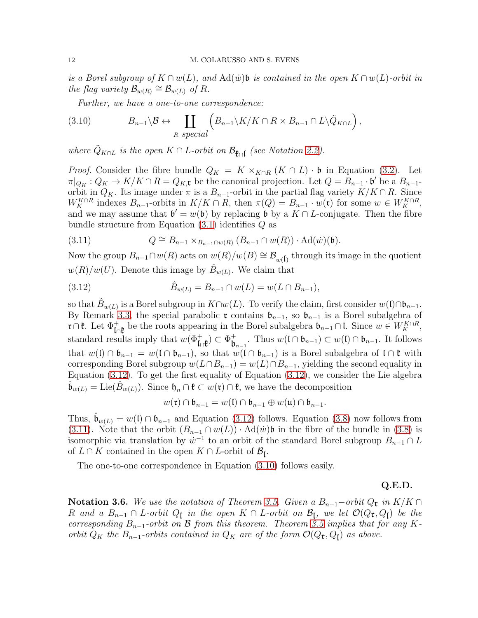is a Borel subgroup of  $K \cap w(L)$ , and  $\text{Ad}(\dot{w})\mathfrak{b}$  is contained in the open  $K \cap w(L)$ -orbit in the flag variety  $\mathcal{B}_{w(R)} \cong \mathcal{B}_{w(L)}$  of R.

<span id="page-11-2"></span>Further, we have a one-to-one correspondence:

(3.10) 
$$
B_{n-1} \setminus \mathcal{B} \leftrightarrow \coprod_{R \text{ special}} \left( B_{n-1} \setminus K / K \cap R \times B_{n-1} \cap L \setminus \tilde{Q}_{K \cap L} \right),
$$

where  $\tilde{Q}_{K \cap L}$  is the open  $K \cap L$ -orbit on  $\mathcal{B}_{\mathfrak{k} \cap L}$  (see Notation [2.2\)](#page-4-0).

*Proof.* Consider the fibre bundle  $Q_K = K \times_{K \cap R} (K \cap L) \cdot \mathfrak{b}$  in Equation [\(3.2\)](#page-8-3). Let  $\pi|_{Q_K}: Q_K \to K/K \cap R = Q_{K,\mathfrak{r}}$  be the canonical projection. Let  $Q = B_{n-1} \cdot \mathfrak{b}'$  be a  $B_{n-1}$ orbit in  $Q_K$ . Its image under  $\pi$  is a  $B_{n-1}$ -orbit in the partial flag variety  $K/K \cap R$ . Since  $W_K^{K \cap R}$  indexes  $B_{n-1}$ -orbits in  $K/K \cap R$ , then  $\pi(Q) = B_{n-1} \cdot w(\mathfrak{r})$  for some  $w \in W_K^{K \cap R}$ , and we may assume that  $\mathfrak{b}' = w(\mathfrak{b})$  by replacing  $\mathfrak{b}$  by a  $K \cap L$ -conjugate. Then the fibre bundle structure from Equation [\(3.1\)](#page-8-4) identifies Q as

<span id="page-11-1"></span>(3.11) 
$$
Q \cong B_{n-1} \times_{B_{n-1} \cap w(R)} (B_{n-1} \cap w(R)) \cdot \mathrm{Ad}(w)(\mathfrak{b}).
$$

Now the group  $B_{n-1} \cap w(R)$  acts on  $w(R)/w(B) \cong \mathcal{B}_{w(\mathfrak{l})}$  through its image in the quotient  $w(R)/w(U)$ . Denote this image by  $\hat{B}_{w(L)}$ . We claim that

<span id="page-11-0"></span>(3.12) 
$$
\hat{B}_{w(L)} = B_{n-1} \cap w(L) = w(L \cap B_{n-1}),
$$

so that  $\hat{B}_{w(L)}$  is a Borel subgroup in  $K\cap w(L)$ . To verify the claim, first consider  $w(\mathfrak{l})\cap \mathfrak{b}_{n-1}$ . By Remark [3.3,](#page-10-1) the special parabolic r contains  $\mathfrak{b}_{n-1}$ , so  $\mathfrak{b}_{n-1}$  is a Borel subalgebra of **r**∩**t**. Let  $\Phi_{\text{In}}^+$  be the roots appearing in the Borel subalgebra  $\mathfrak{b}_{n-1} \cap \mathfrak{l}$ . Since  $w \in W_K^{K \cap R}$ , standard results imply that  $w(\Phi^+_{\mathsf{In} \mathfrak{k}}) \subset \Phi^+_{\mathsf{b}_{n-1}}$ . Thus  $w(\mathfrak{l} \cap \mathfrak{b}_{n-1}) \subset w(\mathfrak{l}) \cap \mathfrak{b}_{n-1}$ . It follows that  $w(1) \cap \mathfrak{b}_{n-1} = w(1 \cap \mathfrak{b}_{n-1}),$  so that  $w(1 \cap \mathfrak{b}_{n-1})$  is a Borel subalgebra of  $1 \cap \mathfrak{k}$  with corresponding Borel subgroup  $w(L \cap B_{n-1}) = w(L) \cap B_{n-1}$ , yielding the second equality in Equation [\(3.12\)](#page-11-0). To get the first equality of Equation [\(3.12\)](#page-11-0), we consider the Lie algebra  $\hat{\mathfrak{b}}_{w(L)} = \text{Lie}(\hat{B}_{w(L)})$ . Since  $\mathfrak{h}_n \cap \mathfrak{k} \subset w(\mathfrak{r}) \cap \mathfrak{k}$ , we have the decomposition

$$
w(\mathfrak{r}) \cap \mathfrak{b}_{n-1} = w(\mathfrak{l}) \cap \mathfrak{b}_{n-1} \oplus w(\mathfrak{u}) \cap \mathfrak{b}_{n-1}.
$$

Thus,  $\mathfrak{b}_{w(L)} = w(\mathfrak{l}) \cap \mathfrak{b}_{n-1}$  and Equation [\(3.12\)](#page-11-0) follows. Equation [\(3.8\)](#page-10-2) now follows from [\(3.11\)](#page-11-1). Note that the orbit  $(B_{n-1} \cap w(L)) \cdot \text{Ad}(w)$  is in the fibre of the bundle in [\(3.8\)](#page-10-2) is isomorphic via translation by  $\dot{w}^{-1}$  to an orbit of the standard Borel subgroup  $B_{n-1} \cap L$ of  $L \cap K$  contained in the open  $K \cap L$ -orbit of  $\mathcal{B}_{\mathfrak{l}}$ .

The one-to-one correspondence in Equation [\(3.10\)](#page-11-2) follows easily.

# Q.E.D.

<span id="page-11-3"></span>Notation 3.6. We use the notation of Theorem [3.5.](#page-10-3) Given a  $B_{n-1}$ −orbit  $Q_{\mathfrak{r}}$  in  $K/K \cap$ R and a  $B_{n-1} \cap L$ -orbit  $Q_{\mathfrak{l}}$  in the open  $K \cap L$ -orbit on  $\mathcal{B}_{\mathfrak{l}}$ , we let  $\mathcal{O}(Q_{\mathfrak{r}}, Q_{\mathfrak{l}})$  be the corresponding  $B_{n-1}$ -orbit on  $\beta$  from this theorem. Theorem [3.5](#page-10-3) implies that for any Korbit  $Q_K$  the  $B_{n-1}$ -orbits contained in  $Q_K$  are of the form  $\mathcal{O}(Q_{\mathfrak{r}}, Q_{\mathfrak{l}})$  as above.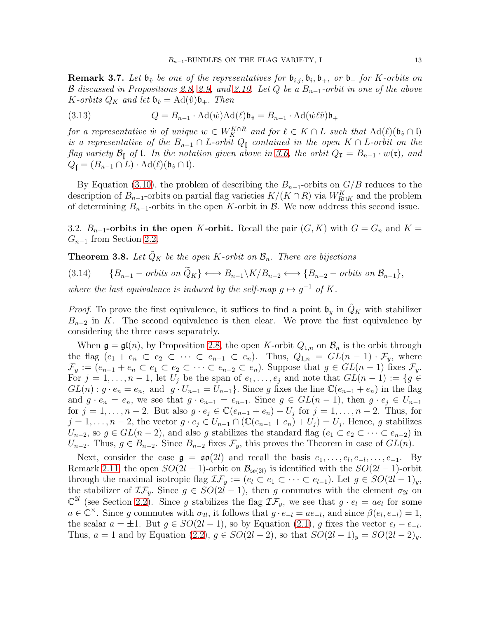<span id="page-12-2"></span>**Remark 3.7.** Let  $\mathfrak{b}_{\hat{v}}$  be one of the representatives for  $\mathfrak{b}_{i,j}, \mathfrak{b}_i, \mathfrak{b}_+,$  or  $\mathfrak{b}_-$  for K-orbits on B discussed in Propositions [2.8,](#page-5-0) [2.9,](#page-7-0) and [2.10.](#page-7-1) Let Q be a  $B_{n-1}$ -orbit in one of the above K-orbits  $Q_K$  and let  $\mathfrak{b}_{\hat{v}} = \mathrm{Ad}(\hat{v})\mathfrak{b}_+$ . Then

<span id="page-12-3"></span>(3.13) 
$$
Q = B_{n-1} \cdot \text{Ad}(\dot{w}) \text{Ad}(\ell) \mathfrak{b}_{\hat{v}} = B_{n-1} \cdot \text{Ad}(\dot{w}\ell\hat{v}) \mathfrak{b}_{+}
$$

for a representative w of unique  $w \in W_K^{K \cap R}$  and for  $\ell \in K \cap L$  such that  $\text{Ad}(\ell)(\mathfrak{b}_{\hat{v}} \cap \mathfrak{l})$ is a representative of the  $B_{n-1} \cap L$ -orbit  $Q_{\mathfrak{l}}$  contained in the open  $K \cap L$ -orbit on the flag variety  $\mathcal{B}_{\mathsf{L}}$  of  $\mathsf{L}$ . In the notation given above in [3.6,](#page-11-3) the orbit  $Q_{\mathfrak{r}} = B_{n-1} \cdot w(\mathfrak{r})$ , and  $Q_{\mathfrak{l}} = (B_{n-1} \cap L) \cdot \mathrm{Ad}(\ell) (\mathfrak{b}_{\hat{v}} \cap \mathfrak{l}).$ 

By Equation [\(3.10\)](#page-11-2), the problem of describing the  $B_{n-1}$ -orbits on  $G/B$  reduces to the description of  $B_{n-1}$ -orbits on partial flag varieties  $K/(K \cap R)$  via  $W_{R \cap K}^K$  and the problem of determining  $B_{n-1}$ -orbits in the open K-orbit in  $\mathcal{B}$ . We now address this second issue.

3.2.  $B_{n-1}$ -orbits in the open K-orbit. Recall the pair  $(G, K)$  with  $G = G_n$  and  $K =$  $G_{n-1}$  from Section [2.2.](#page-2-1)

<span id="page-12-1"></span>**Theorem 3.8.** Let  $\hat{Q}_K$  be the open K-orbit on  $\mathcal{B}_n$ . There are bijections

<span id="page-12-0"></span>(3.14) { $B_{n-1}$  – orbits on  $\widetilde{Q}_K$ }  $\longleftrightarrow$   $B_{n-1}\backslash K/B_{n-2}$   $\longleftrightarrow$  { $B_{n-2}$  – orbits on  $\mathcal{B}_{n-1}$ }, where the last equivalence is induced by the self-map  $g \mapsto g^{-1}$  of K.

*Proof.* To prove the first equivalence, it suffices to find a point  $\mathfrak{b}_y$  in  $Q_K$  with stabilizer  $B_{n-2}$  in K. The second equivalence is then clear. We prove the first equivalence by considering the three cases separately.

When  $\mathfrak{g} = \mathfrak{gl}(n)$ , by Proposition [2.8,](#page-5-0) the open K-orbit  $Q_{1,n}$  on  $\mathcal{B}_n$  is the orbit through the flag  $(e_1 + e_n \subset e_2 \subset \cdots \subset e_{n-1} \subset e_n)$ . Thus,  $Q_{1,n} = GL(n-1) \cdot \mathcal{F}_y$ , where  $\mathcal{F}_y := (e_{n-1} + e_n \subset e_1 \subset e_2 \subset \cdots \subset e_{n-2} \subset e_n)$ . Suppose that  $g \in GL(n-1)$  fixes  $\mathcal{F}_y$ . For  $j = 1, \ldots, n - 1$ , let  $U_j$  be the span of  $e_1, \ldots, e_j$  and note that  $GL(n-1) := \{g \in$  $GL(n): g \cdot e_n = e_n$ , and  $g \cdot U_{n-1} = U_{n-1}$ . Since g fixes the line  $\mathbb{C}(e_{n-1} + e_n)$  in the flag and  $g \cdot e_n = e_n$ , we see that  $g \cdot e_{n-1} = e_{n-1}$ . Since  $g \in GL(n-1)$ , then  $g \cdot e_i \in U_{n-1}$ for  $j = 1, \ldots, n-2$ . But also  $g \cdot e_j \in \mathbb{C}(e_{n-1} + e_n) + U_j$  for  $j = 1, \ldots, n-2$ . Thus, for  $j = 1, \ldots, n-2$ , the vector  $g \cdot e_j \in U_{n-1} \cap (\mathbb{C}(e_{n-1} + e_n) + U_j) = U_j$ . Hence, g stabilizes  $U_{n-2}$ , so  $g \in GL(n-2)$ , and also g stabilizes the standard flag  $(e_1 \subset e_2 \subset \cdots \subset e_{n-2})$  in  $U_{n-2}$ . Thus,  $g \in B_{n-2}$ . Since  $B_{n-2}$  fixes  $\mathcal{F}_y$ , this proves the Theorem in case of  $GL(n)$ .

Next, consider the case  $\mathfrak{g} = \mathfrak{so}(2l)$  and recall the basis  $e_1, \ldots, e_l, e_{-l}, \ldots, e_{-1}$ . By Remark [2.11,](#page-7-3) the open  $SO(2l-1)$ -orbit on  $\mathcal{B}_{\mathfrak{so}(2l)}$  is identified with the  $SO(2l-1)$ -orbit through the maximal isotropic flag  $\mathcal{IF}_y := (e_l \subset e_1 \subset \cdots \subset e_{l-1})$ . Let  $g \in SO(2l-1)_y$ , the stabilizer of  $\mathcal{IF}_{y}$ . Since  $g \in SO(2l-1)$ , then g commutes with the element  $\sigma_{2l}$  on  $\mathbb{C}^{2l}$  (see Section [2.2\)](#page-2-1). Since g stabilizes the flag  $\mathcal{IF}_y$ , we see that  $g \cdot e_l = a e_l$  for some  $a \in \mathbb{C}^{\times}$ . Since g commutes with  $\sigma_{2l}$ , it follows that  $g \cdot e_{-l} = ae_{-l}$ , and since  $\beta(e_l, e_{-l}) = 1$ , the scalar  $a = \pm 1$ . But  $g \in SO(2l-1)$ , so by Equation [\(2.1\)](#page-3-0), g fixes the vector  $e_l - e_{-l}$ . Thus,  $a = 1$  and by Equation [\(2.2\)](#page-3-1),  $g \in SO(2l-2)$ , so that  $SO(2l-1)_y = SO(2l-2)_y$ .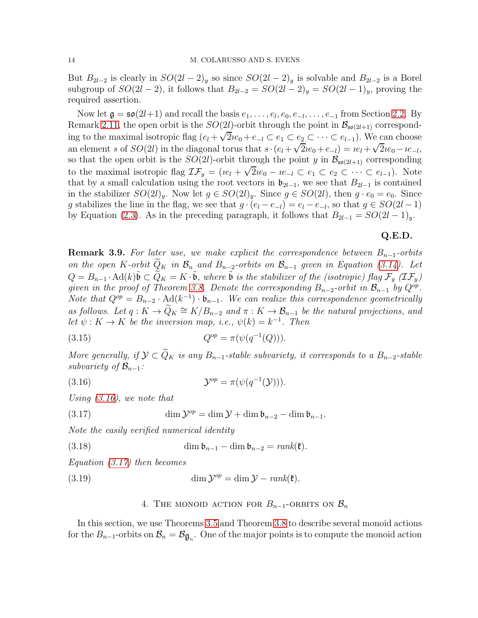But  $B_{2l-2}$  is clearly in  $SO(2l-2)<sub>y</sub>$  so since  $SO(2l-2)<sub>y</sub>$  is solvable and  $B_{2l-2}$  is a Borel subgroup of  $SO(2l-2)$ , it follows that  $B_{2l-2} = SO(2l-2)_y = SO(2l-1)_y$ , proving the required assertion.

Now let  $\mathfrak{g} = \mathfrak{so}(2l+1)$  and recall the basis  $e_1, \ldots, e_l, e_0, e_{-l}, \ldots, e_{-1}$  from Section [2.2.](#page-2-1) By Remark [2.11,](#page-7-3) the open orbit is the  $SO(2l)$ -orbit through the point in  $\mathcal{B}_{\mathfrak{so}(2l+1)}$  corresponding to the maximal isotropic flag  $(e_l + \sqrt{2}ie_0 + e_{-l} \subset e_1 \subset e_2 \subset \cdots \subset e_{l-1})$ . We can choose an element s of  $SO(2l)$  in the diagonal torus that  $s \cdot (e_l + \sqrt{2}ie_0 + e_{-l}) = ie_l + \sqrt{2}ie_0 - ie_{-l}$ , so that the open orbit is the  $SO(2l)$ -orbit through the point y in  $\mathcal{B}_{\mathfrak{so}(2l+1)}$  corresponding to the maximal isotropic flag  $\mathcal{IF}_y = (ie_l + \sqrt{2}ie_0 - ie_{-l} \subset e_1 \subset e_2 \subset \cdots \subset e_{l-1})$ . Note that by a small calculation using the root vectors in  $\mathfrak{b}_{2l-1}$ , we see that  $B_{2l-1}$  is contained in the stabilizer  $SO(2l)_y$ . Now let  $g \in SO(2l)_y$ . Since  $g \in SO(2l)$ , then  $g \cdot e_0 = e_0$ . Since g stabilizes the line in the flag, we see that  $g \cdot (e_l - e_{-l}) = e_l - e_{-l}$ , so that  $g \in SO(2l - 1)$ by Equation [\(2.3\)](#page-3-2). As in the preceding paragraph, it follows that  $B_{2l-1} = SO(2l-1)_y$ .

# Q.E.D.

<span id="page-13-3"></span>**Remark 3.9.** For later use, we make explicit the correspondence between  $B_{n-1}$ -orbits on the open K-orbit  $Q_K$  in  $\mathcal{B}_n$  and  $B_{n-2}$ -orbits on  $\mathcal{B}_{n-1}$  given in Equation [\(3.14\)](#page-12-0). Let  $Q = B_{n-1} \cdot \text{Ad}(k) \tilde{\mathfrak{b}} \subset \widetilde{Q}_K = K \cdot \tilde{\mathfrak{b}}$ , where  $\tilde{\mathfrak{b}}$  is the stabilizer of the (isotropic) flag  $\mathcal{F}_y$  ( $\mathcal{I}\mathcal{F}_y$ ) given in the proof of Theorem [3.8.](#page-12-1) Denote the corresponding  $B_{n-2}$ -orbit in  $\mathcal{B}_{n-1}$  by  $Q^{op}$ . Note that  $Q^{op} = B_{n-2} \cdot \text{Ad}(k^{-1}) \cdot \mathfrak{b}_{n-1}$ . We can realize this correspondence geometrically as follows. Let  $q: K \to Q_K \cong K/B_{n-2}$  and  $\pi: K \to B_{n-1}$  be the natural projections, and let  $\psi: K \to K$  be the inversion map, i.e.,  $\psi(k) = k^{-1}$ . Then

(3.15) 
$$
Q^{op} = \pi(\psi(q^{-1}(Q))).
$$

More generally, if  $\mathcal{Y} \subset \widetilde{Q}_K$  is any  $B_{n-1}$ -stable subvariety, it corresponds to a  $B_{n-2}$ -stable subvariety of  $\mathcal{B}_{n-1}$ :

<span id="page-13-1"></span>(3.16) 
$$
\mathcal{Y}^{op} = \pi(\psi(q^{-1}(\mathcal{Y}))).
$$

Using [\(3.16\)](#page-13-1), we note that

(3.17) 
$$
\dim \mathcal{Y}^{op} = \dim \mathcal{Y} + \dim \mathfrak{b}_{n-2} - \dim \mathfrak{b}_{n-1}.
$$

Note the easily verified numerical identity

(3.18) 
$$
\dim \mathfrak{b}_{n-1} - \dim \mathfrak{b}_{n-2} = rank(\mathfrak{k}).
$$

Equation [\(3.17\)](#page-13-2) then becomes

<span id="page-13-0"></span>(3.19) 
$$
\dim \mathcal{Y}^{op} = \dim \mathcal{Y} - rank(\mathfrak{k}).
$$

## <span id="page-13-2"></span>4. THE MONOID ACTION FOR  $B_{n-1}$ -ORBITS ON  $\mathcal{B}_n$

In this section, we use Theorems [3.5](#page-10-3) and Theorem [3.8](#page-12-1) to describe several monoid actions for the  $B_{n-1}$ -orbits on  $\mathcal{B}_n = \mathcal{B}_{\mathfrak{g}_n}$ . One of the major points is to compute the monoid action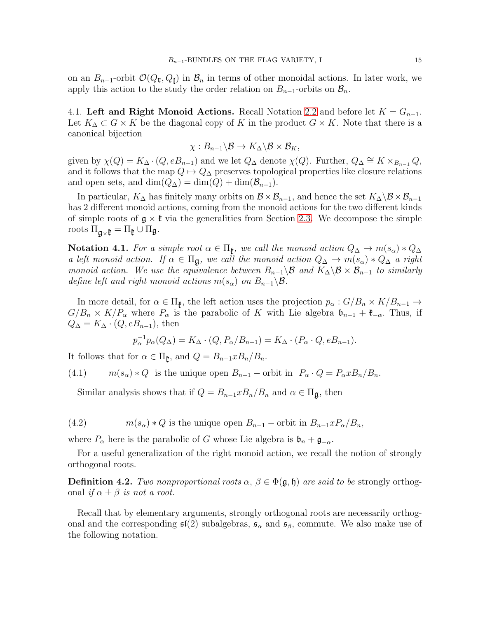on an  $B_{n-1}$ -orbit  $\mathcal{O}(Q_{\mathfrak{r}}, Q_{\mathfrak{l}})$  in  $\mathcal{B}_n$  in terms of other monoidal actions. In later work, we apply this action to the study the order relation on  $B_{n-1}$ -orbits on  $\mathcal{B}_n$ .

4.1. Left and Right Monoid Actions. Recall Notation [2.2](#page-4-0) and before let  $K = G_{n-1}$ . Let  $K_{\Delta} \subset G \times K$  be the diagonal copy of K in the product  $G \times K$ . Note that there is a canonical bijection

$$
\chi:B_{n-1}\backslash\mathcal{B}\to K_{\Delta}\backslash\mathcal{B}\times\mathcal{B}_K,
$$

given by  $\chi(Q) = K_{\Delta} \cdot (Q, eB_{n-1})$  and we let  $Q_{\Delta}$  denote  $\chi(Q)$ . Further,  $Q_{\Delta} \cong K \times_{B_{n-1}} Q$ , and it follows that the map  $Q \mapsto Q_{\Delta}$  preserves topological properties like closure relations and open sets, and  $\dim(Q_{\Delta}) = \dim(Q) + \dim(\mathcal{B}_{n-1}).$ 

In particular,  $K_{\Delta}$  has finitely many orbits on  $\mathcal{B} \times \mathcal{B}_{n-1}$ , and hence the set  $K_{\Delta} \backslash \mathcal{B} \times \mathcal{B}_{n-1}$ has 2 different monoid actions, coming from the monoid actions for the two different kinds of simple roots of  $g \times f$  via the generalities from Section [2.3.](#page-3-3) We decompose the simple roots  $\Pi_{\mathfrak{g}\times\mathfrak{k}}=\Pi_{\mathfrak{k}}\cup\Pi_{\mathfrak{g}}$ .

Notation 4.1. For a simple root  $\alpha \in \Pi_{\mathfrak{k}}$ , we call the monoid action  $Q_{\Delta} \to m(s_{\alpha}) * Q_{\Delta}$ a left monoid action. If  $\alpha \in \Pi_{\mathfrak{g}}$ , we call the monoid action  $Q_{\Delta} \to m(s_{\alpha}) * Q_{\Delta}$  a right monoid action. We use the equivalence between  $B_{n-1}\setminus\mathcal{B}$  and  $K_{\Delta}\setminus\mathcal{B}\times\mathcal{B}_{n-1}$  to similarly define left and right monoid actions  $m(s_\alpha)$  on  $B_{n-1}\backslash\mathcal{B}$ .

In more detail, for  $\alpha \in \Pi_{\mathfrak{k}}$ , the left action uses the projection  $p_{\alpha}: G/B_n \times K/B_{n-1} \to$  $G/B_n \times K/P_\alpha$  where  $P_\alpha$  is the parabolic of K with Lie algebra  $\mathfrak{b}_{n-1} + \mathfrak{k}_{-\alpha}$ . Thus, if  $Q_{\Delta} = K_{\Delta} \cdot (Q, eB_{n-1}),$  then

$$
p_{\alpha}^{-1}p_{\alpha}(Q_{\Delta}) = K_{\Delta} \cdot (Q, P_{\alpha}/B_{n-1}) = K_{\Delta} \cdot (P_{\alpha} \cdot Q, eB_{n-1}).
$$

It follows that for  $\alpha \in \Pi_{\mathfrak{k}}$ , and  $Q = B_{n-1} x B_n / B_n$ .

(4.1)  $m(s_\alpha) * Q$  is the unique open  $B_{n-1}$  – orbit in  $P_\alpha \cdot Q = P_\alpha x B_n / B_n$ .

<span id="page-14-0"></span>Similar analysis shows that if  $Q = B_{n-1} x B_n / B_n$  and  $\alpha \in \Pi_{\mathfrak{g}}$ , then

<span id="page-14-1"></span>(4.2) 
$$
m(s_{\alpha}) * Q \text{ is the unique open } B_{n-1} - \text{orbit in } B_{n-1} x P_{\alpha}/B_n,
$$

where  $P_{\alpha}$  here is the parabolic of G whose Lie algebra is  $\mathfrak{b}_n + \mathfrak{g}_{-\alpha}$ .

For a useful generalization of the right monoid action, we recall the notion of strongly orthogonal roots.

<span id="page-14-2"></span>**Definition 4.2.** Two nonproportional roots  $\alpha$ ,  $\beta \in \Phi(\mathfrak{g}, \mathfrak{h})$  are said to be strongly orthogonal if  $\alpha \pm \beta$  is not a root.

Recall that by elementary arguments, strongly orthogonal roots are necessarily orthogonal and the corresponding  $\mathfrak{sl}(2)$  subalgebras,  $\mathfrak{s}_{\alpha}$  and  $\mathfrak{s}_{\beta}$ , commute. We also make use of the following notation.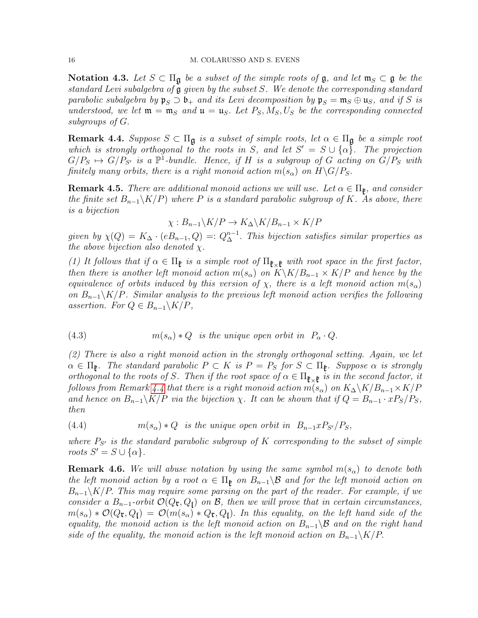Notation 4.3. Let  $S \subset \Pi_{\mathfrak{g}}$  be a subset of the simple roots of  $\mathfrak{g}$ , and let  $\mathfrak{m}_S \subset \mathfrak{g}$  be the standard Levi subalgebra of g given by the subset S. We denote the corresponding standard parabolic subalgebra by  $\mathfrak{p}_S \supset \mathfrak{b}_+$  and its Levi decomposition by  $\mathfrak{p}_S = \mathfrak{m}_S \oplus \mathfrak{u}_S$ , and if S is understood, we let  $\mathfrak{m} = \mathfrak{m}_S$  and  $\mathfrak{u} = \mathfrak{u}_S$ . Let  $P_S, M_S, U_S$  be the corresponding connected subgroups of G.

<span id="page-15-0"></span>**Remark 4.4.** Suppose  $S \subset \Pi_{\mathfrak{g}}$  is a subset of simple roots, let  $\alpha \in \Pi_{\mathfrak{g}}$  be a simple root which is strongly orthogonal to the roots in S, and let  $S' = S \cup {\alpha}$ . The projection  $G/P_S \mapsto G/P_{S'}$  is a  $\mathbb{P}^1$ -bundle. Hence, if H is a subgroup of G acting on  $G/P_S$  with finitely many orbits, there is a right monoid action  $m(s_\alpha)$  on  $H\backslash G/P_S$ .

<span id="page-15-1"></span>**Remark 4.5.** There are additional monoid actions we will use. Let  $\alpha \in \Pi_{\mathfrak{k}}$ , and consider the finite set  $B_{n-1}\backslash K/P$ ) where P is a standard parabolic subgroup of K. As above, there is a bijection

$$
\chi: B_{n-1}\backslash K/P \to K_{\Delta}\backslash K/B_{n-1} \times K/P
$$

given by  $\chi(Q) = K_{\Delta} \cdot (eB_{n-1}, Q) =: Q_{\Delta}^{n-1}$ . This bijection satisfies similar properties as the above bijection also denoted  $\chi$ .

(1) It follows that if  $\alpha \in \Pi_{\mathfrak{k}}$  is a simple root of  $\Pi_{\mathfrak{k} \times \mathfrak{k}}$  with root space in the first factor, then there is another left monoid action  $m(s_{\alpha})$  on  $K\backslash K/B_{n-1} \times K/P$  and hence by the equivalence of orbits induced by this version of  $\chi$ , there is a left monoid action  $m(s_\alpha)$ on  $B_{n-1}\K P$ . Similar analysis to the previous left monoid action verifies the following assertion. For  $Q \in B_{n-1} \backslash K/P$ ,

<span id="page-15-2"></span>(4.3) 
$$
m(s_{\alpha}) * Q \text{ is the unique open orbit in } P_{\alpha} \cdot Q.
$$

(2) There is also a right monoid action in the strongly orthogonal setting. Again, we let  $\alpha \in \Pi_{\mathfrak{k}}$ . The standard parabolic  $P \subset K$  is  $P = P_S$  for  $S \subset \Pi_{\mathfrak{k}}$ . Suppose  $\alpha$  is strongly orthogonal to the roots of S. Then if the root space of  $\alpha \in \Pi_{\mathfrak{k} \times \mathfrak{k}}$  is in the second factor, it follows from Remark [4.4](#page-15-0) that there is a right monoid action  $m(s_\alpha)$  on  $K_\Delta\backslash K/B_{n-1}\times K/P$ and hence on  $B_{n-1}\backslash K/P$  via the bijection  $\chi$ . It can be shown that if  $Q = B_{n-1} \cdot xP_S/P_S$ , then

<span id="page-15-3"></span>(4.4)  $m(s_\alpha) * Q$  is the unique open orbit in  $B_{n-1} x P_{S'} / P_S$ ,

where  $P_{S'}$  is the standard parabolic subgroup of K corresponding to the subset of simple roots  $S' = S \cup \{\alpha\}.$ 

**Remark 4.6.** We will abuse notation by using the same symbol  $m(s_\alpha)$  to denote both the left monoid action by a root  $\alpha \in \Pi_{\mathfrak{k}}$  on  $B_{n-1}\setminus\mathcal{B}$  and for the left monoid action on  $B_{n-1}\setminus K/P$ . This may require some parsing on the part of the reader. For example, if we consider a  $B_{n-1}$ -orbit  $\mathcal{O}(Q_{\mathfrak{r}}, Q_{\mathfrak{l}})$  on  $\mathcal{B}$ , then we will prove that in certain circumstances,  $m(s_\alpha)*\mathcal{O}(Q_{\mathfrak{r}},Q_{\mathfrak{f}}) = \mathcal{O}(m(s_\alpha)*Q_{\mathfrak{r}},Q_{\mathfrak{f}})$ . In this equality, on the left hand side of the equality, the monoid action is the left monoid action on  $B_{n-1}\setminus\mathcal{B}$  and on the right hand side of the equality, the monoid action is the left monoid action on  $B_{n-1}\backslash K/P$ .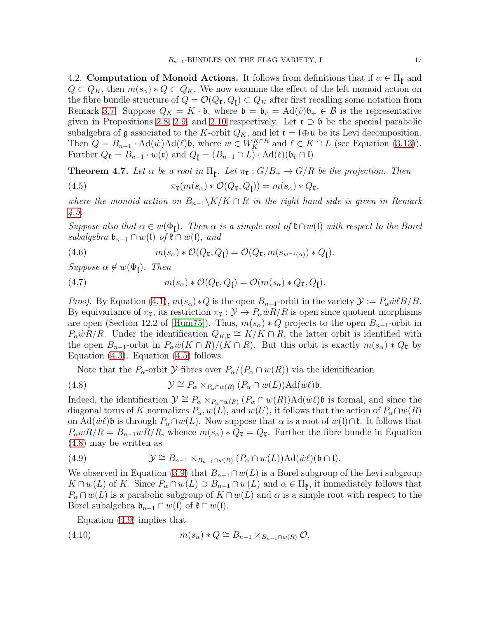4.2. Computation of Monoid Actions. It follows from definitions that if  $\alpha \in \Pi_{\mathfrak{k}}$  and  $Q \subset Q_K$ , then  $m(s_\alpha) * Q \subset Q_K$ . We now examine the effect of the left monoid action on the fibre bundle structure of  $Q = \mathcal{O}(Q_{\mathbf{r}}, Q_{\mathbf{l}}) \subset Q_K$  after first recalling some notation from Remark [3.7.](#page-12-2) Suppose  $Q_K = K \cdot \mathfrak{b}$ , where  $\mathfrak{b} = \mathfrak{b}_{\hat{v}} = \text{Ad}(\hat{v})\mathfrak{b}_+ \in \mathcal{B}$  is the representative given in Propositions [2.8,](#page-5-0) [2.9,](#page-7-0) and [2.10](#page-7-1) respectively. Let  $\mathfrak{r} \supset \mathfrak{b}$  be the special parabolic subalgebra of g associated to the K-orbit  $Q_K$ , and let  $\mathfrak{r} = \mathfrak{l} \oplus \mathfrak{u}$  be its Levi decomposition. Then  $Q = B_{n-1} \cdot \text{Ad}(\omega) \text{Ad}(\ell)$ , where  $w \in W_K^{K \cap R}$  and  $\ell \in K \cap L$  (see Equation [\(3.13\)](#page-12-3)). Further  $Q_{\mathfrak{r}} = B_{n-1} \cdot w(\mathfrak{r})$  and  $Q_{\mathfrak{l}} = (B_{n-1} \cap L) \cdot \text{Ad}(\ell)(\mathfrak{b}_{\hat{v}} \cap \mathfrak{l}).$ 

<span id="page-16-0"></span>**Theorem 4.7.** Let  $\alpha$  be a root in  $\Pi_{\mathfrak{k}}$ . Let  $\pi_{\mathfrak{r}} : G/B_+ \to G/R$  be the projection. Then

<span id="page-16-1"></span>(4.5) 
$$
\pi_{\mathfrak{r}}(m(s_{\alpha}) * \mathcal{O}(Q_{\mathfrak{r}}, Q_{\mathfrak{l}})) = m(s_{\alpha}) * Q_{\mathfrak{r}},
$$

where the monoid action on  $B_{n-1}\backslash K/K\cap R$  in the right hand side is given in Remark [4.5.](#page-15-1)

Suppose also that  $\alpha \in w(\Phi_I)$ . Then  $\alpha$  is a simple root of  $\mathfrak{k} \cap w(\mathfrak{l})$  with respect to the Borel subalgebra  $\mathfrak{b}_{n-1} \cap w(\mathfrak{l})$  of  $\mathfrak{k} \cap w(\mathfrak{l})$ , and

<span id="page-16-4"></span>(4.6) 
$$
m(s_{\alpha}) * \mathcal{O}(Q_{\mathbf{t}}, Q_{\mathbf{l}}) = \mathcal{O}(Q_{\mathbf{t}}, m(s_{w^{-1}(\alpha)}) * Q_{\mathbf{l}}).
$$

Suppose  $\alpha \notin w(\Phi_{\mathfrak{l}})$ . Then

<span id="page-16-5"></span>(4.7) 
$$
m(s_{\alpha}) * \mathcal{O}(Q_{\mathfrak{r}}, Q_{\mathfrak{l}}) = \mathcal{O}(m(s_{\alpha}) * Q_{\mathfrak{r}}, Q_{\mathfrak{l}}).
$$

*Proof.* By Equation [\(4.1\)](#page-14-0),  $m(s_\alpha)*Q$  is the open  $B_{n-1}$ -orbit in the variety  $\mathcal{Y} := P_\alpha \dot{w} \ell B / B$ . By equivariance of  $\pi_{\mathfrak{r}}$ , its restriction  $\pi_{\mathfrak{r}} : \mathcal{Y} \to P_{\alpha} \dot{w} R/R$  is open since quotient morphisms are open (Section 12.2 of [\[Hum75\]](#page-22-8)). Thus,  $m(s_\alpha) * Q$  projects to the open  $B_{n-1}$ -orbit in  $P_{\alpha} wR/R$ . Under the identification  $Q_{K,\mathbf{t}} \cong K/K \cap R$ , the latter orbit is identified with the open  $B_{n-1}$ -orbit in  $P_\alpha \dot{w}(K \cap R)/(K \cap R)$ . But this orbit is exactly  $m(s_\alpha) * Q_{\mathfrak{r}}$  by Equation  $(4.3)$ . Equation  $(4.5)$  follows.

<span id="page-16-2"></span>Note that the  $P_{\alpha}$ -orbit Y fibres over  $P_{\alpha}/(P_{\alpha} \cap w(R))$  via the identification

(4.8) 
$$
\mathcal{Y} \cong P_{\alpha} \times_{P_{\alpha} \cap w(R)} (P_{\alpha} \cap w(L)) \text{Ad}(w\ell) \mathfrak{b}.
$$

Indeed, the identification  $\mathcal{Y} \cong P_\alpha \times_{P_\alpha \cap w(R)} (P_\alpha \cap w(R))$ Ad $(\dot{w}\ell)$ b is formal, and since the diagonal torus of K normalizes  $P_{\alpha}$ ,  $w(L)$ , and  $w(U)$ , it follows that the action of  $P_{\alpha} \cap w(R)$ on Ad( $\dot{w}\ell$ )b is through  $P_\alpha \cap w(L)$ . Now suppose that  $\alpha$  is a root of  $w(\mathfrak{l}) \cap \mathfrak{k}$ . It follows that  $P_{\alpha}wR/R = B_{n-1}wR/R$ , whence  $m(s_{\alpha}) * Q_{\mathfrak{r}} = Q_{\mathfrak{r}}$ . Further the fibre bundle in Equation [\(4.8\)](#page-16-2) may be written as

<span id="page-16-3"></span>(4.9) 
$$
\mathcal{Y} \cong B_{n-1} \times_{B_{n-1} \cap w(R)} (P_\alpha \cap w(L)) \text{Ad}(w\ell)(\mathfrak{b} \cap \mathfrak{l}).
$$

We observed in Equation [\(3.9\)](#page-10-4) that  $B_{n-1} \cap w(L)$  is a Borel subgroup of the Levi subgroup  $K \cap w(L)$  of K. Since  $P_{\alpha} \cap w(L) \supseteq B_{n-1} \cap w(L)$  and  $\alpha \in \Pi_{\mathfrak{k}}$ , it immediately follows that  $P_\alpha \cap w(L)$  is a parabolic subgroup of  $K \cap w(L)$  and  $\alpha$  is a simple root with respect to the Borel subalgebra  $\mathfrak{b}_{n-1} \cap w(\mathfrak{l})$  of  $\mathfrak{k} \cap w(\mathfrak{l})$ .

Equation [\(4.9\)](#page-16-3) implies that

$$
(4.10) \t\t\t m(s\alpha) * Q \cong B_{n-1} \times_{B_{n-1} \cap w(R)} \mathcal{O},
$$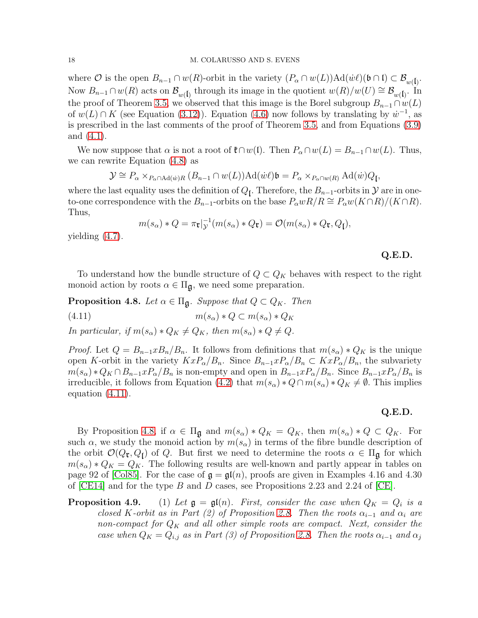### 18 M. COLARUSSO AND S. EVENS

where  $\mathcal O$  is the open  $B_{n-1} \cap w(R)$ -orbit in the variety  $(P_\alpha \cap w(L))$ Ad $(\dot{w}\ell)$ ( $\mathfrak{b} \cap \mathfrak{l}$ )  $\subset \mathcal B_{w(\mathfrak{l})}$ . Now  $B_{n-1} \cap w(R)$  acts on  $\mathcal{B}_{w(\mathfrak{l})}$  through its image in the quotient  $w(R)/w(U) \cong \mathcal{B}_{w(\mathfrak{l})}$ . In the proof of Theorem [3.5,](#page-10-3) we observed that this image is the Borel subgroup  $B_{n-1} \cap w(L)$ of  $w(L) \cap K$  (see Equation [\(3.12\)](#page-11-0)). Equation [\(4.6\)](#page-16-4) now follows by translating by  $w^{-1}$ , as is prescribed in the last comments of the proof of Theorem [3.5,](#page-10-3) and from Equations [\(3.9\)](#page-10-4) and [\(4.1\)](#page-14-0).

We now suppose that  $\alpha$  is not a root of  $\mathfrak{k} \cap w(\mathfrak{l})$ . Then  $P_\alpha \cap w(L) = B_{n-1} \cap w(L)$ . Thus, we can rewrite Equation [\(4.8\)](#page-16-2) as

$$
\mathcal{Y} \cong P_{\alpha} \times_{P_{\alpha} \cap \mathrm{Ad}(w)R} (B_{n-1} \cap w(L)) \mathrm{Ad}(w\ell) \mathfrak{b} = P_{\alpha} \times_{P_{\alpha} \cap w(R)} \mathrm{Ad}(w) Q_{\mathfrak{f}},
$$

where the last equality uses the definition of  $Q_{\mathfrak{l}}$ . Therefore, the  $B_{n-1}$ -orbits in  $\mathcal{Y}$  are in oneto-one correspondence with the  $B_{n-1}$ -orbits on the base  $P_{\alpha}wR/R \cong P_{\alpha}w(K\cap R)/(K\cap R)$ . Thus,

<span id="page-17-0"></span>
$$
m(s_{\alpha}) * Q = \pi_{\mathfrak{r}}|_{\mathcal{Y}}^{-1}(m(s_{\alpha}) * Q_{\mathfrak{r}}) = \mathcal{O}(m(s_{\alpha}) * Q_{\mathfrak{r}}, Q_{\mathfrak{f}}),
$$

yielding [\(4.7\)](#page-16-5).

Q.E.D.

To understand how the bundle structure of  $Q \subset Q_K$  behaves with respect to the right monoid action by roots  $\alpha \in \Pi_{\mathfrak{g}}$ , we need some preparation.

<span id="page-17-1"></span>**Proposition 4.8.** Let  $\alpha \in \Pi_{\mathfrak{q}}$ . Suppose that  $Q \subset Q_K$ . Then (4.11)  $m(s_\alpha) * Q \subset m(s_\alpha) * Q_K$ 

In particular, if  $m(s_\alpha)*Q_K \neq Q_K$ , then  $m(s_\alpha)*Q \neq Q$ .

*Proof.* Let  $Q = B_{n-1} x B_n / B_n$ . It follows from definitions that  $m(s_\alpha) * Q_K$  is the unique open K-orbit in the variety  $KxP_{\alpha}/B_n$ . Since  $B_{n-1}xP_{\alpha}/B_n \subset KxP_{\alpha}/B_n$ , the subvariety  $m(s_\alpha)*Q_K \cap B_{n-1}xP_\alpha/B_n$  is non-empty and open in  $B_{n-1}xP_\alpha/B_n$ . Since  $B_{n-1}xP_\alpha/B_n$  is irreducible, it follows from Equation [\(4.2\)](#page-14-1) that  $m(s_\alpha) * Q \cap m(s_\alpha) * Q_K \neq \emptyset$ . This implies equation [\(4.11\)](#page-17-0).

## Q.E.D.

By Proposition [4.8,](#page-17-1) if  $\alpha \in \Pi_{\mathfrak{g}}$  and  $m(s_{\alpha}) * Q_K = Q_K$ , then  $m(s_{\alpha}) * Q \subset Q_K$ . For such  $\alpha$ , we study the monoid action by  $m(s_{\alpha})$  in terms of the fibre bundle description of the orbit  $\mathcal{O}(Q_{\mathbf{t}}, Q_{\mathbf{l}})$  of Q. But first we need to determine the roots  $\alpha \in \Pi_{\mathbf{g}}$  for which  $m(s_\alpha) * Q_K = Q_K$ . The following results are well-known and partly appear in tables on page 92 of [\[Col85\]](#page-22-9). For the case of  $\mathfrak{g} = \mathfrak{gl}(n)$ , proofs are given in Examples 4.16 and 4.30 of  $|CE14|$  and for the type B and D cases, see Propositions 2.23 and 2.24 of  $|CE|$ .

**Proposition 4.9.** (1) Let  $\mathfrak{g} = \mathfrak{gl}(n)$ . First, consider the case when  $Q_K = Q_i$  is a closed K-orbit as in Part (2) of Proposition [2.8.](#page-5-0) Then the roots  $\alpha_{i-1}$  and  $\alpha_i$  are non-compact for  $Q_K$  and all other simple roots are compact. Next, consider the case when  $Q_K = Q_{i,j}$  as in Part (3) of Proposition [2.8.](#page-5-0) Then the roots  $\alpha_{i-1}$  and  $\alpha_j$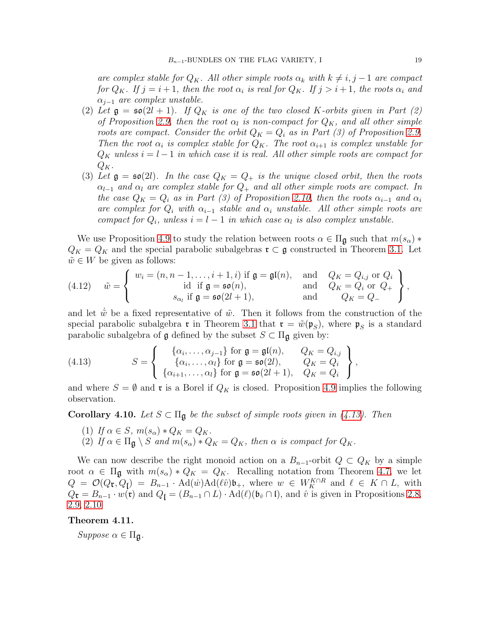are complex stable for  $Q_K$ . All other simple roots  $\alpha_k$  with  $k \neq i, j - 1$  are compact for  $Q_K$ . If  $j = i + 1$ , then the root  $\alpha_i$  is real for  $Q_K$ . If  $j > i + 1$ , the roots  $\alpha_i$  and  $\alpha_{j-1}$  are complex unstable.

- (2) Let  $\mathfrak{g} = \mathfrak{so}(2l + 1)$ . If  $Q_K$  is one of the two closed K-orbits given in Part (2) of Proposition [2.9,](#page-7-0) then the root  $\alpha_l$  is non-compact for  $Q_K$ , and all other simple roots are compact. Consider the orbit  $Q_K = Q_i$  as in Part (3) of Proposition [2.9.](#page-7-0) Then the root  $\alpha_i$  is complex stable for  $Q_K$ . The root  $\alpha_{i+1}$  is complex unstable for  $Q_K$  unless  $i = l - 1$  in which case it is real. All other simple roots are compact for  $Q_K$ .
- (3) Let  $\mathfrak{g} = \mathfrak{so}(2l)$ . In the case  $Q_K = Q_+$  is the unique closed orbit, then the roots  $\alpha_{l-1}$  and  $\alpha_l$  are complex stable for  $Q_+$  and all other simple roots are compact. In the case  $Q_K = Q_i$  as in Part (3) of Proposition [2.10,](#page-7-1) then the roots  $\alpha_{i-1}$  and  $\alpha_i$ are complex for  $Q_i$  with  $\alpha_{i-1}$  stable and  $\alpha_i$  unstable. All other simple roots are compact for  $Q_i$ , unless  $i = l - 1$  in which case  $\alpha_l$  is also complex unstable.

We use Proposition 4.9 to study the relation between roots  $\alpha \in \Pi_{\mathfrak{g}}$  such that  $m(s_{\alpha})$  \*  $Q_K = Q_K$  and the special parabolic subalgebras  $\mathfrak{r} \subset \mathfrak{g}$  constructed in Theorem [3.1.](#page-8-2) Let  $\tilde{w} \in W$  be given as follows:

<span id="page-18-3"></span>(4.12) 
$$
\tilde{w} = \begin{cases} w_i = (n, n-1, \dots, i+1, i) \text{ if } \mathfrak{g} = \mathfrak{gl}(n), & \text{and} \quad Q_K = Q_{i,j} \text{ or } Q_i \\ \text{id if } \mathfrak{g} = \mathfrak{so}(n), & \text{and} \quad Q_K = Q_i \text{ or } Q_+ \\ s_{\alpha_l} \text{ if } \mathfrak{g} = \mathfrak{so}(2l+1), & \text{and} \quad Q_K = Q_- \end{cases},
$$

and let  $\tilde{w}$  be a fixed representative of  $\tilde{w}$ . Then it follows from the construction of the special parabolic subalgebra  $\mathfrak{r}$  in Theorem [3.1](#page-8-2) that  $\mathfrak{r} = \tilde{w}(\mathfrak{p}_S)$ , where  $\mathfrak{p}_S$  is a standard parabolic subalgebra of  $\mathfrak g$  defined by the subset  $S \subset \Pi_{\mathfrak g}$  given by:

<span id="page-18-1"></span>(4.13) 
$$
S = \left\{ \begin{array}{ll} \{\alpha_i, \ldots, \alpha_{j-1}\} \text{ for } \mathfrak{g} = \mathfrak{gl}(n), & Q_K = Q_{i,j} \\ \{\alpha_i, \ldots, \alpha_l\} \text{ for } \mathfrak{g} = \mathfrak{so}(2l), & Q_K = Q_i \\ \{\alpha_{i+1}, \ldots, \alpha_l\} \text{ for } \mathfrak{g} = \mathfrak{so}(2l+1), & Q_K = Q_i \end{array} \right\}
$$

and where  $S = \emptyset$  and **r** is a Borel if  $Q_K$  is closed. Proposition 4.9 implies the following observation.

,

<span id="page-18-2"></span>**Corollary 4.10.** Let  $S \subset \Pi_{\mathfrak{g}}$  be the subset of simple roots given in [\(4.13\)](#page-18-1). Then

- (1) If  $\alpha \in S$ ,  $m(s_\alpha) * Q_K = Q_K$ .
- (2) If  $\alpha \in \Pi_{\mathfrak{g}} \setminus S$  and  $m(s_{\alpha}) * Q_K = Q_K$ , then  $\alpha$  is compact for  $Q_K$ .

We can now describe the right monoid action on a  $B_{n-1}$ -orbit  $Q \subset Q_K$  by a simple root  $\alpha \in \Pi_{\mathfrak{g}}$  with  $m(s_{\alpha}) * Q_K = Q_K$ . Recalling notation from Theorem [4.7,](#page-16-0) we let  $Q = \mathcal{O}(Q_{\mathbf{t}}, Q_{\mathbf{j}}) = B_{n-1} \cdot \mathrm{Ad}(\omega) \mathrm{Ad}(\ell \hat{v}) \mathfrak{b}_{+}$ , where  $w \in W_K^{K \cap R}$  and  $\ell \in K \cap L$ , with  $Q_{\mathfrak{r}} = B_{n-1} \cdot w(\mathfrak{r})$  and  $Q_{\mathfrak{f}} = (B_{n-1} \cap L) \cdot \text{Ad}(\ell)(\mathfrak{b}_{\hat{v}} \cap \mathfrak{l})$ , and  $\hat{v}$  is given in Propositions [2.8,](#page-5-0) [2.9,](#page-7-0) [2.10](#page-7-1)

<span id="page-18-0"></span>Theorem 4.11.

 $Suppose \alpha \in \Pi_{\mathfrak{A}}$ .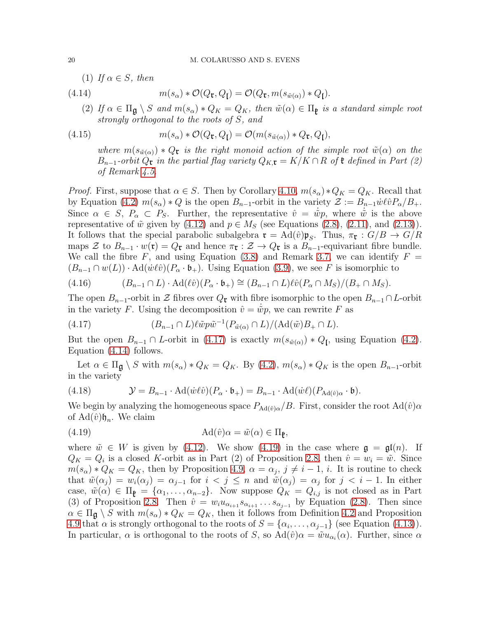(1) If  $\alpha \in S$ , then

(4.14) 
$$
m(s_{\alpha}) * \mathcal{O}(Q_{\mathfrak{r}}, Q_{\mathfrak{l}}) = \mathcal{O}(Q_{\mathfrak{r}}, m(s_{\tilde{w}(\alpha)}) * Q_{\mathfrak{l}}).
$$

<span id="page-19-1"></span>(2) If  $\alpha \in \Pi_{\mathfrak{g}} \setminus S$  and  $m(s_{\alpha}) * Q_K = Q_K$ , then  $\tilde{w}(\alpha) \in \Pi_{\mathfrak{k}}$  is a standard simple root strongly orthogonal to the roots of S, and

(4.15) 
$$
m(s_{\alpha}) * \mathcal{O}(Q_{\mathfrak{r}}, Q_{\mathfrak{l}}) = \mathcal{O}(m(s_{\tilde{w}(\alpha)}) * Q_{\mathfrak{r}}, Q_{\mathfrak{l}}),
$$

<span id="page-19-4"></span>where  $m(s_{\tilde{w}(\alpha)}) * Q_{\tilde{r}}$  is the right monoid action of the simple root  $\tilde{w}(\alpha)$  on the  $B_{n-1}$ -orbit  $Q_{\mathfrak{r}}$  in the partial flag variety  $Q_{K,\mathfrak{r}} = K/K \cap R$  of  $\mathfrak{k}$  defined in Part (2) of Remark [4.5.](#page-15-1)

*Proof.* First, suppose that  $\alpha \in S$ . Then by Corollary [4.10,](#page-18-2)  $m(s_{\alpha}) * Q_K = Q_K$ . Recall that by Equation [\(4.2\)](#page-14-1)  $m(s_\alpha) * Q$  is the open  $B_{n-1}$ -orbit in the variety  $\mathcal{Z} := B_{n-1} \dot{w} \ell \hat{v} P_\alpha / B_+$ . Since  $\alpha \in S$ ,  $P_{\alpha} \subset P_{S}$ . Further, the representative  $\hat{v} = \dot{w}p$ , where  $\dot{\tilde{w}}$  is the above representative of  $\tilde{w}$  given by [\(4.12\)](#page-18-3) and  $p \in M_S$  (see Equations [\(2.8\)](#page-6-0), [\(2.11\)](#page-7-4), and [\(2.13\)](#page-7-5)). It follows that the special parabolic subalgebra  $\mathfrak{r} = \text{Ad}(\hat{v})\mathfrak{p}_S$ . Thus,  $\pi_{\mathfrak{r}} : G/B \to G/R$ maps  $\mathcal Z$  to  $B_{n-1} \cdot w(\mathfrak r) = Q_{\mathfrak r}$  and hence  $\pi_{\mathfrak r} : \mathcal Z \to Q_{\mathfrak r}$  is a  $B_{n-1}$ -equivariant fibre bundle. We call the fibre F, and using Equation [\(3.8\)](#page-10-2) and Remark [3.7,](#page-12-2) we can identify  $F =$  $(B_{n-1} \cap w(L)) \cdot \text{Ad}(\dot{w}\ell\hat{v})(P_\alpha \cdot \mathfrak{b}_+)$ . Using Equation [\(3.9\)](#page-10-4), we see F is isomorphic to

$$
(4.16) \qquad (B_{n-1} \cap L) \cdot \mathrm{Ad}(\ell \hat{v}) (P_{\alpha} \cdot \mathfrak{b}_{+}) \cong (B_{n-1} \cap L) \ell \hat{v} (P_{\alpha} \cap M_S) / (B_{+} \cap M_S).
$$

The open  $B_{n-1}$ -orbit in Z fibres over  $Q_{\mathfrak{r}}$  with fibre isomorphic to the open  $B_{n-1} \cap L$ -orbit in the variety F. Using the decomposition  $\hat{v} = \dot{\tilde{w}} p$ , we can rewrite F as

<span id="page-19-0"></span>(4.17) 
$$
(B_{n-1} \cap L)\ell \tilde{w} p \tilde{w}^{-1} (P_{\tilde{w}(\alpha)} \cap L) / (\mathrm{Ad}(\tilde{w}) B_+ \cap L).
$$

But the open  $B_{n-1} \cap L$ -orbit in [\(4.17\)](#page-19-0) is exactly  $m(s_{\tilde{w}(\alpha)}) * Q_{\mathfrak{l}}$ , using Equation [\(4.2\)](#page-14-1). Equation [\(4.14\)](#page-19-1) follows.

Let  $\alpha \in \Pi_{\mathfrak{a}} \setminus S$  with  $m(s_{\alpha}) * Q_K = Q_K$ . By [\(4.2\)](#page-14-1),  $m(s_{\alpha}) * Q_K$  is the open  $B_{n-1}$ -orbit in the variety

<span id="page-19-3"></span>(4.18) 
$$
\mathcal{Y} = B_{n-1} \cdot \mathrm{Ad}(\dot{w}\ell\hat{v})(P_{\alpha} \cdot \mathfrak{b}_{+}) = B_{n-1} \cdot \mathrm{Ad}(\dot{w}\ell)(P_{\mathrm{Ad}(\hat{v})\alpha} \cdot \mathfrak{b}).
$$

We begin by analyzing the homogeneous space  $P_{\text{Ad}(\hat{v})\alpha}/B$ . First, consider the root  $\text{Ad}(\hat{v})\alpha$ of  $\operatorname{Ad}(\hat{v})\mathfrak{h}_n$ . We claim

<span id="page-19-2"></span>(4.19) 
$$
Ad(\hat{v})\alpha = \tilde{w}(\alpha) \in \Pi_{\mathfrak{p}},
$$

where  $\tilde{w} \in W$  is given by [\(4.12\)](#page-18-3). We show [\(4.19\)](#page-19-2) in the case where  $\mathfrak{g} = \mathfrak{gl}(n)$ . If  $Q_K = Q_i$  is a closed K-orbit as in Part (2) of Proposition [2.8,](#page-5-0) then  $\hat{v} = w_i = \tilde{w}$ . Since  $m(s_\alpha) * Q_K = Q_K$ , then by Proposition 4.9,  $\alpha = \alpha_j$ ,  $j \neq i-1$ , *i*. It is routine to check that  $\tilde{w}(\alpha_j) = w_i(\alpha_j) = \alpha_{j-1}$  for  $i < j \leq n$  and  $\tilde{w}(\alpha_j) = \alpha_j$  for  $j < i-1$ . In either case,  $\tilde{w}(\alpha) \in \Pi_{\mathfrak{k}} = {\alpha_1, \ldots, \alpha_{n-2}}$ . Now suppose  $Q_K = Q_{i,j}$  is not closed as in Part (3) of Proposition [2.8.](#page-5-0) Then  $\hat{v} = w_i u_{\alpha_{i+1}} s_{\alpha_{i+1}} \dots s_{\alpha_{j-1}}$  by Equation [\(2.8\)](#page-6-0). Then since  $\alpha \in \Pi_{\mathfrak{g}} \setminus S$  with  $m(s_{\alpha}) * Q_K = Q_K$ , then it follows from Definition [4.2](#page-14-2) and Proposition 4.9 that  $\alpha$  is strongly orthogonal to the roots of  $S = {\alpha_i, \dots, \alpha_{j-1}}$  (see Equation [\(4.13\)](#page-18-1)). In particular,  $\alpha$  is orthogonal to the roots of S, so  $\text{Ad}(\hat{v})\alpha = \tilde{w}u_{\alpha_i}(\alpha)$ . Further, since  $\alpha$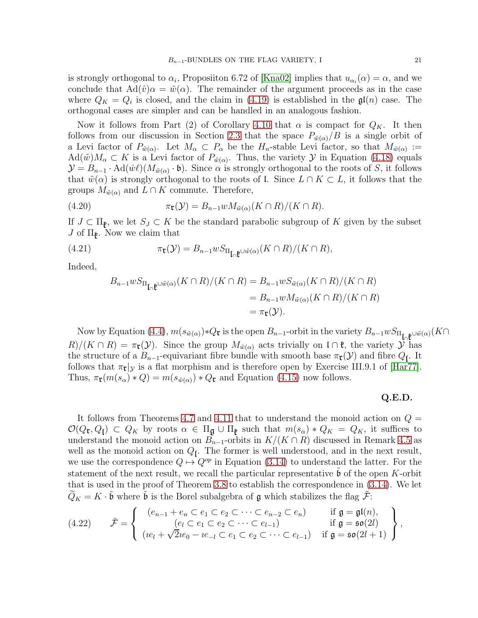is strongly orthogonal to  $\alpha_i$ , Proposiiton 6.72 of [\[Kna02\]](#page-22-4) implies that  $u_{\alpha_i}(\alpha) = \alpha$ , and we conclude that  $\text{Ad}(\hat{v})\alpha = \tilde{w}(\alpha)$ . The remainder of the argument proceeds as in the case where  $Q_K = Q_i$  is closed, and the claim in [\(4.19\)](#page-19-2) is established in the  $\mathfrak{gl}(n)$  case. The orthogonal cases are simpler and can be handled in an analogous fashion.

Now it follows from Part (2) of Corollary [4.10](#page-18-2) that  $\alpha$  is compact for  $Q_K$ . It then follows from our discussion in Section [2.3](#page-3-3) that the space  $P_{\tilde{w}(\alpha)}/B$  is a single orbit of a Levi factor of  $P_{\tilde{w}(\alpha)}$ . Let  $M_{\alpha} \subset P_{\alpha}$  be the  $H_n$ -stable Levi factor, so that  $M_{\tilde{w}(\alpha)} :=$  $\text{Ad}(\tilde{w})M_{\alpha} \subset K$  is a Levi factor of  $P_{\tilde{w}(\alpha)}$ . Thus, the variety  $\mathcal{Y}$  in Equation [\(4.18\)](#page-19-3) equals  $\mathcal{Y} = B_{n-1} \cdot \text{Ad}(w\ell)(M_{\tilde{w}(\alpha)} \cdot \mathfrak{b})$ . Since  $\alpha$  is strongly orthogonal to the roots of S, it follows that  $\tilde{w}(\alpha)$  is strongly orthogonal to the roots of l. Since  $L \cap K \subset L$ , it follows that the groups  $M_{\tilde{w}(\alpha)}$  and  $L \cap K$  commute. Therefore,

(4.20) 
$$
\pi_{\mathfrak{r}}(\mathcal{Y}) = B_{n-1} w M_{\tilde{w}(\alpha)}(K \cap R)/(K \cap R).
$$

If  $J \subset \Pi_{\mathfrak{k}}$ , we let  $S_J \subset K$  be the standard parabolic subgroup of K given by the subset  $J$  of  $\Pi_{\mathfrak{k}}$ . Now we claim that

(4.21) 
$$
\pi_{\mathbf{t}}(\mathcal{Y}) = B_{n-1} w S_{\Pi_{\mathbf{t}} \mathbf{t}} \omega_{\tilde{w}(\alpha)}(K \cap R) / (K \cap R),
$$

Indeed,

$$
B_{n-1}wS_{\Pi_{\mathfrak{g}}\mathfrak{g}}(K\cap R)/(K\cap R) = B_{n-1}wS_{\tilde{w}(\alpha)}(K\cap R)/(K\cap R)
$$
  
= 
$$
B_{n-1}wM_{\tilde{w}(\alpha)}(K\cap R)/(K\cap R)
$$
  
= 
$$
\pi_{\mathfrak{r}}(\mathcal{Y}).
$$

Now by Equation [\(4.4\)](#page-15-3),  $m(s_{\tilde{w}(\alpha)})$ \* $Q_{\mathfrak{r}}$  is the open  $B_{n-1}$ -orbit in the variety  $B_{n-1}wS_{\Pi_{\mathfrak{r}}|\mathfrak{r}}\psi_{\tilde{w}(\alpha)}(K\cap$  $R/(K \cap R) = \pi_{\mathfrak{r}}(\mathcal{Y})$ . Since the group  $M_{\tilde{w}(\alpha)}$  acts trivially on  $\mathfrak{l} \cap \mathfrak{k}$ , the variety  $\mathcal Y$  has the structure of a  $B_{n-1}$ -equivariant fibre bundle with smooth base  $\pi_{\mathfrak{r}}(\mathcal{Y})$  and fibre  $Q_{\mathfrak{l}}$ . It follows that  $\pi_{\mathfrak{r}}|y$  is a flat morphism and is therefore open by Exercise III.9.1 of [\[Har77\]](#page-22-10). Thus,  $\pi_{\mathfrak{r}}(m(s_{\alpha}) * Q) = m(s_{\tilde{w}(\alpha)}) * Q_{\mathfrak{r}}$  and Equation [\(4.15\)](#page-19-4) now follows.

## Q.E.D.

It follows from Theorems [4.7](#page-16-0) and [4.11](#page-18-0) that to understand the monoid action on  $Q =$  $\mathcal{O}(Q_{\mathbf{t}}, Q_{\mathbf{l}}) \subset Q_K$  by roots  $\alpha \in \Pi_{\mathbf{g}} \cup \Pi_{\mathbf{g}}$  such that  $m(s_\alpha) * Q_K = Q_K$ , it suffices to understand the monoid action on  $B_{n-1}$ -orbits in  $K/(K \cap R)$  discussed in Remark [4.5](#page-15-1) as well as the monoid action on  $Q_l$ . The former is well understood, and in the next result, we use the correspondence  $Q \mapsto Q^{op}$  in Equation [\(3.14\)](#page-12-0) to understand the latter. For the statement of the next result, we recall the particular representative  $\mathfrak b$  of the open K-orbit that is used in the proof of Theorem [3.8](#page-12-1) to establish the correspondence in [\(3.14\)](#page-12-0). We let  $\widetilde{Q}_K = K \cdot \widetilde{\mathfrak{b}}$  where  $\widetilde{\mathfrak{b}}$  is the Borel subalgebra of  $\mathfrak g$  which stabilizes the flag  $\widetilde{\mathcal{F}}$ :

<span id="page-20-0"></span>
$$
(4.22) \qquad \tilde{\mathcal{F}} = \left\{ \begin{array}{ll} (e_{n-1} + e_n \subset e_1 \subset e_2 \subset \cdots \subset e_{n-2} \subset e_n) & \text{if } \mathfrak{g} = \mathfrak{gl}(n), \\ (e_l \subset e_1 \subset e_2 \subset \cdots \subset e_{l-1}) & \text{if } \mathfrak{g} = \mathfrak{so}(2l) \\ (ie_l + \sqrt{2}ie_0 - ie_{-l} \subset e_1 \subset e_2 \subset \cdots \subset e_{l-1}) & \text{if } \mathfrak{g} = \mathfrak{so}(2l+1) \end{array} \right\},
$$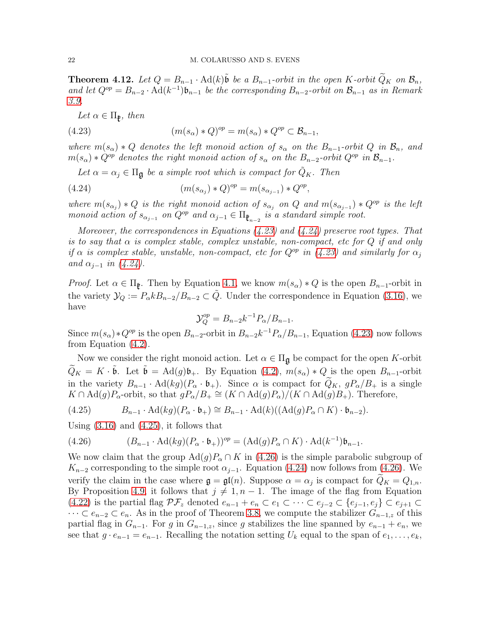<span id="page-21-0"></span>**Theorem 4.12.** Let  $Q = B_{n-1} \cdot \text{Ad}(k)$  be a  $B_{n-1}$ -orbit in the open K-orbit  $\widetilde{Q}_K$  on  $\mathcal{B}_n$ , and let  $Q^{op} = B_{n-2} \cdot \text{Ad}(k^{-1}) \mathfrak{b}_{n-1}$  be the corresponding  $B_{n-2}$ -orbit on  $\mathcal{B}_{n-1}$  as in Remark [3.9.](#page-13-3)

<span id="page-21-1"></span>Let  $\alpha \in \Pi_{\mathfrak{k}}$ , then

(4.23) 
$$
(m(s_{\alpha}) * Q)^{op} = m(s_{\alpha}) * Q^{op} \subset \mathcal{B}_{n-1},
$$

where  $m(s_\alpha) * Q$  denotes the left monoid action of  $s_\alpha$  on the  $B_{n-1}$ -orbit  $Q$  in  $\mathcal{B}_n$ , and  $m(s_{\alpha}) * Q^{op}$  denotes the right monoid action of  $s_{\alpha}$  on the  $B_{n-2}$ -orbit  $Q^{op}$  in  $\mathcal{B}_{n-1}$ .

<span id="page-21-2"></span>Let  $\alpha = \alpha_j \in \Pi_{\mathfrak{g}}$  be a simple root which is compact for  $Q_K$ . Then

(4.24) 
$$
(m(s_{\alpha_j}) * Q)^{op} = m(s_{\alpha_{j-1}}) * Q^{op},
$$

where  $m(s_{\alpha_j}) * Q$  is the right monoid action of  $s_{\alpha_j}$  on Q and  $m(s_{\alpha_{j-1}}) * Q^{op}$  is the left monoid action of  $s_{\alpha_{j-1}}$  on  $Q^{op}$  and  $\alpha_{j-1} \in \Pi_{\mathfrak{k}_{n-2}}$  is a standard simple root.

Moreover, the correspondences in Equations  $(4.23)$  and  $(4.24)$  preserve root types. That is to say that  $\alpha$  is complex stable, complex unstable, non-compact, etc for Q if and only if  $\alpha$  is complex stable, unstable, non-compact, etc for  $Q^{op}$  in [\(4.23\)](#page-21-1) and similarly for  $\alpha_j$ and  $\alpha_{i-1}$  in [\(4.24\)](#page-21-2).

*Proof.* Let  $\alpha \in \Pi_{\mathfrak{g}}$ . Then by Equation [4.1,](#page-14-0) we know  $m(s_{\alpha}) * Q$  is the open  $B_{n-1}$ -orbit in the variety  $\mathcal{Y}_Q := P_\alpha k B_{n-2} / B_{n-2} \subset \tilde{Q}$ . Under the correspondence in Equation [\(3.16\)](#page-13-1), we have

$$
\mathcal{Y}_Q^{op} = B_{n-2} k^{-1} P_\alpha / B_{n-1}.
$$

Since  $m(s_\alpha)*Q^{op}$  is the open  $B_{n-2}$ -orbit in  $B_{n-2}k^{-1}P_\alpha/B_{n-1}$ , Equation [\(4.23\)](#page-21-1) now follows from Equation [\(4.2\)](#page-14-1).

Now we consider the right monoid action. Let  $\alpha \in \Pi_{\mathfrak{g}}$  be compact for the open K-orbit  $\widetilde{Q}_K = K \cdot \widetilde{\mathfrak{b}}$ . Let  $\widetilde{\mathfrak{b}} = \text{Ad}(g)\mathfrak{b}_+$ . By Equation  $(4.2)$ ,  $m(s_\alpha) * Q$  is the open  $B_{n-1}$ -orbit in the variety  $B_{n-1} \cdot \text{Ad}(kg)(P_\alpha \cdot \mathfrak{b}_+)$ . Since  $\alpha$  is compact for  $\widetilde{Q}_K$ ,  $gP_\alpha/B_+$  is a single  $K \cap \text{Ad}(g)P_{\alpha}$ -orbit, so that  $gP_{\alpha}/B_{+} \cong (K \cap \text{Ad}(g)P_{\alpha})/(K \cap \text{Ad}(g)B_{+})$ . Therefore,

<span id="page-21-3"></span>(4.25) 
$$
B_{n-1} \cdot \mathrm{Ad}(kg)(P_{\alpha} \cdot \mathfrak{b}_{+}) \cong B_{n-1} \cdot \mathrm{Ad}(k)((\mathrm{Ad}(g)P_{\alpha} \cap K) \cdot \mathfrak{b}_{n-2}).
$$

Using  $(3.16)$  and  $(4.25)$ , it follows that

<span id="page-21-4"></span>(4.26) 
$$
(B_{n-1} \cdot \mathrm{Ad}(kg)(P_\alpha \cdot \mathfrak{b}_+))^{op} = (\mathrm{Ad}(g)P_\alpha \cap K) \cdot \mathrm{Ad}(k^{-1})\mathfrak{b}_{n-1}.
$$

We now claim that the group  $\text{Ad}(g)P_\alpha \cap K$  in [\(4.26\)](#page-21-4) is the simple parabolic subgroup of  $K_{n-2}$  corresponding to the simple root  $\alpha_{j-1}$ . Equation [\(4.24\)](#page-21-2) now follows from [\(4.26\)](#page-21-4). We verify the claim in the case where  $\mathfrak{g} = \mathfrak{gl}(n)$ . Suppose  $\alpha = \alpha_j$  is compact for  $Q_K = Q_{1,n}$ . By Proposition 4.9, it follows that  $j \neq 1, n - 1$ . The image of the flag from Equation [\(4.22\)](#page-20-0) is the partial flag  $\mathcal{PF}_z$  denoted  $e_{n-1} + e_n \subset e_1 \subset \cdots \subset e_{j-2} \subset \{e_{j-1}, e_j\} \subset e_{j+1} \subset$  $\cdots \subset e_{n-2} \subset e_n$ . As in the proof of Theorem [3.8,](#page-12-1) we compute the stabilizer  $G_{n-1,z}$  of this partial flag in  $G_{n-1}$ . For g in  $G_{n-1,z}$ , since g stabilizes the line spanned by  $e_{n-1} + e_n$ , we see that  $g \cdot e_{n-1} = e_{n-1}$ . Recalling the notation setting  $U_k$  equal to the span of  $e_1, \ldots, e_k$ ,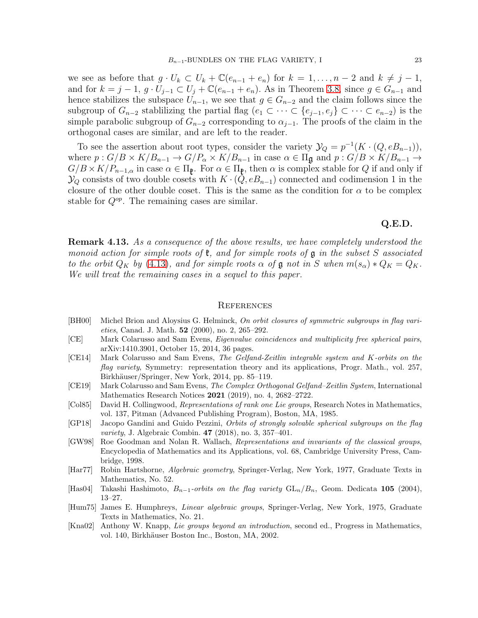we see as before that  $g \cdot U_k \subset U_k + \mathbb{C}(e_{n-1} + e_n)$  for  $k = 1, \ldots, n-2$  and  $k \neq j-1$ , and for  $k = j - 1$ ,  $g \cdot U_{j-1} \subset U_j + \mathbb{C}(e_{n-1} + e_n)$ . As in Theorem [3.8,](#page-12-1) since  $g \in G_{n-1}$  and hence stabilizes the subspace  $U_{n-1}$ , we see that  $g \in G_{n-2}$  and the claim follows since the subgroup of  $G_{n-2}$  stablilizing the partial flag  $(e_1 \subset \cdots \subset \{e_{j-1}, e_j\} \subset \cdots \subset e_{n-2})$  is the simple parabolic subgroup of  $G_{n-2}$  corresponding to  $\alpha_{i-1}$ . The proofs of the claim in the orthogonal cases are similar, and are left to the reader.

To see the assertion about root types, consider the variety  $\mathcal{Y}_Q = p^{-1}(K \cdot (Q, eB_{n-1})),$ where  $p: G/B \times K/B_{n-1} \to G/P_\alpha \times K/B_{n-1}$  in case  $\alpha \in \Pi_{\mathfrak{g}}$  and  $p: G/B \times K/B_{n-1} \to G/P_\alpha$  $G/B \times K/P_{n-1,\alpha}$  in case  $\alpha \in \Pi_{\mathfrak{k}}$ . For  $\alpha \in \Pi_{\mathfrak{k}}$ , then  $\alpha$  is complex stable for Q if and only if  $\mathcal{Y}_Q$  consists of two double cosets with  $K \cdot (Q, eB_{n-1})$  connected and codimension 1 in the closure of the other double coset. This is the same as the condition for  $\alpha$  to be complex stable for  $Q^{op}$ . The remaining cases are similar.

## Q.E.D.

Remark 4.13. As a consequence of the above results, we have completely understood the monoid action for simple roots of  $\mathfrak k$ , and for simple roots of  $\mathfrak g$  in the subset S associated to the orbit  $Q_K$  by [\(4.13\)](#page-18-1), and for simple roots  $\alpha$  of  $\mathfrak g$  not in S when  $m(s_\alpha)*Q_K=Q_K$ . We will treat the remaining cases in a sequel to this paper.

## **REFERENCES**

- <span id="page-22-7"></span>[BH00] Michel Brion and Aloysius G. Helminck, On orbit closures of symmetric subgroups in flag varieties, Canad. J. Math. 52 (2000), no. 2, 265–292.
- <span id="page-22-6"></span>[CE] Mark Colarusso and Sam Evens, Eigenvalue coincidences and multiplicity free spherical pairs, arXiv:1410.3901, October 15, 2014, 36 pages.
- <span id="page-22-5"></span>[CE14] Mark Colarusso and Sam Evens, The Gelfand-Zeitlin integrable system and K-orbits on the flag variety, Symmetry: representation theory and its applications, Progr. Math., vol. 257, Birkhäuser/Springer, New York, 2014, pp. 85–119.
- <span id="page-22-3"></span>[CE19] Mark Colarusso and Sam Evens, The Complex Orthogonal Gelfand–Zeitlin System, International Mathematics Research Notices 2021 (2019), no. 4, 2682–2722.
- <span id="page-22-9"></span>[Col85] David H. Collingwood, Representations of rank one Lie groups, Research Notes in Mathematics, vol. 137, Pitman (Advanced Publishing Program), Boston, MA, 1985.
- <span id="page-22-1"></span>[GP18] Jacopo Gandini and Guido Pezzini, Orbits of strongly solvable spherical subgroups on the flag variety, J. Algebraic Combin. 47 (2018), no. 3, 357–401.
- <span id="page-22-2"></span>[GW98] Roe Goodman and Nolan R. Wallach, Representations and invariants of the classical groups, Encyclopedia of Mathematics and its Applications, vol. 68, Cambridge University Press, Cambridge, 1998.
- <span id="page-22-10"></span>[Har77] Robin Hartshorne, Algebraic geometry, Springer-Verlag, New York, 1977, Graduate Texts in Mathematics, No. 52.
- <span id="page-22-0"></span>[Has04] Takashi Hashimoto,  $B_{n-1}$ -orbits on the flag variety  $GL_n/B_n$ , Geom. Dedicata 105 (2004), 13–27.
- <span id="page-22-8"></span>[Hum75] James E. Humphreys, Linear algebraic groups, Springer-Verlag, New York, 1975, Graduate Texts in Mathematics, No. 21.
- <span id="page-22-4"></span>[Kna02] Anthony W. Knapp, Lie groups beyond an introduction, second ed., Progress in Mathematics, vol. 140, Birkhäuser Boston Inc., Boston, MA, 2002.